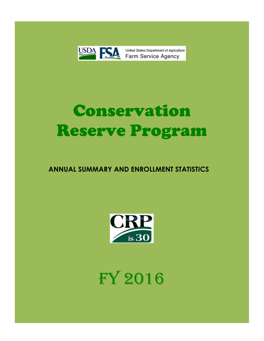

# Conservation Reserve Program

# **ANNUAL SUMMARY AND ENROLLMENT STATISTICS**



FY 2016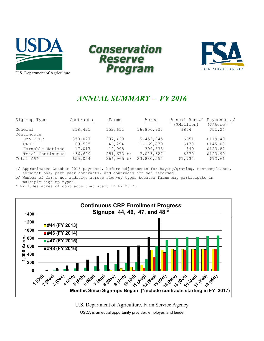





# *ANNUAL SUMMARY – FY 2016*

| Sign-up Type     | Contracts | Farms      | Acres      | Annual Rental Payments a/ |          |
|------------------|-----------|------------|------------|---------------------------|----------|
|                  |           |            |            | (SMillion)                | (S/Acre) |
| General          | 218,425   | 152,611    | 16,856,927 | \$864                     | \$51.24  |
| Continuous       |           |            |            |                           |          |
| Non-CREP         | 350,027   | 207,423    | 5,453,245  | \$651                     | \$119.40 |
| <b>CREP</b>      | 69,585    | 46,294     | 1,169,879  | \$170                     | \$145.00 |
| Farmable Wetland | 17,017    | 12,998     | 399,538    | \$49                      | \$123.82 |
| Total Continuous | 436,629   | 251,673 b/ | 7,023,627  | \$870                     | \$123.90 |
| Total CRP        | 655,054   | 366,965 b/ | 23,880,554 | \$1,734                   | \$72.61  |

a/ Approximates October 2016 payments, before adjustments for haying/grazing, non-compliance, terminations, part-year contracts, and contracts not yet recorded.

b/ Number of farms not additive across sign-up types because farms may participate in multiple sign-up types.

\* Excludes acres of contracts that start in FY 2017.



U.S. Department of Agriculture, Farm Service Agency

USDA is an equal opportunity provider, employer, and lender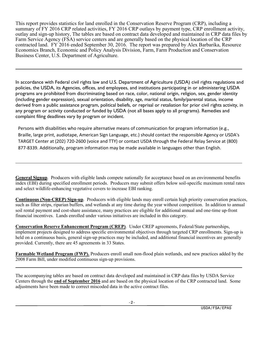This report provides statistics for land enrolled in the Conservation Reserve Program (CRP), including a summary of FY 2016 CRP related activities, FY 2016 CRP outlays by payment type, CRP enrollment activity, outlay and sign-up history, The tables are based on contract data developed and maintained in CRP data files by Farm Service Agency (FSA) service centers and are generally based on the physical location of the CRP contracted land. FY 2016 ended September 30, 2016. The report was prepared by Alex Barbarika, Resource Economics Branch, Economic and Policy Analysis Division, Farm, Farm Production and Conservation Business Center, U.S. Department of Agriculture.

In accordance with Federal civil rights law and U.S. Department of Agriculture (USDA) civil rights regulations and policies, the USDA, its Agencies, offices, and employees, and institutions participating in or administering USDA programs are prohibited from discriminating based on race, color, national origin, religion, sex, gender identity (including gender expression), sexual orientation, disability, age, marital status, family/parental status, income derived from a public assistance program, political beliefs, or reprisal or retaliation for prior civil rights activity, in any program or activity conducted or funded by USDA (not all bases apply to all programs). Remedies and complaint filing deadlines vary by program or incident.

Persons with disabilities who require alternative means of communication for program information (e.g., Braille, large print, audiotape, American Sign Language, etc.) should contact the responsible Agency or USDA's TARGET Center at (202) 720-2600 (voice and TTY) or contact USDA through the Federal Relay Service at (800) 877-8339. Additionally, program information may be made available in languages other than English.

**General Signup**. Producers with eligible lands compete nationally for acceptance based on an environmental benefits index (EBI) during specified enrollment periods. Producers may submit offers below soil-specific maximum rental rates and select wildlife-enhancing vegetative covers to increase EBI ranking.

**Continuous (Non-CREP) Sign-up**. Producers with eligible lands may enroll certain high priority conservation practices, such as filter strips, riparian buffers, and wetlands at any time during the year without competition. In addition to annual soil rental payment and cost-share assistance, many practices are eligible for additional annual and one-time up-front financial incentives. Lands enrolled under various initiatives are included in this category.

**Conservation Reserve Enhancement Program (CREP)**. Under CREP agreements, Federal/State partnerships, implement projects designed to address specific environmental objectives through targeted CRP enrollments. Sign-up is held on a continuous basis, general sign-up practices may be included, and additional financial incentives are generally provided. Currently, there are 45 agreements in 33 States.

**Farmable Wetland Program (FWP).** Producers enroll small non-flood plain wetlands, and new practices added by the 2008 Farm Bill, under modified continuous sign-up provisions.

The accompanying tables are based on contract data developed and maintained in CRP data files by USDA Service Centers through the **end of September 2016** and are based on the physical location of the CRP contracted land. Some adjustments have been made to correct miscoded data in the active contract files.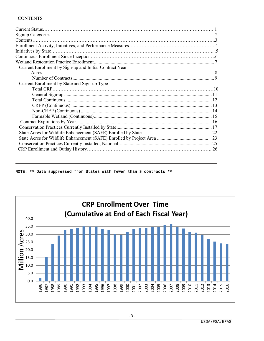#### **CONTENTS**

| Current Enrollment by Sign-up and Initial Contract Year |  |
|---------------------------------------------------------|--|
|                                                         |  |
|                                                         |  |
| Current Enrollment by State and Sign-up Type            |  |
|                                                         |  |
|                                                         |  |
|                                                         |  |
|                                                         |  |
|                                                         |  |
|                                                         |  |
|                                                         |  |
|                                                         |  |
|                                                         |  |
|                                                         |  |
|                                                         |  |
|                                                         |  |

NOTE: \*\* Data suppressed from States with fewer than 3 contracts \*\*

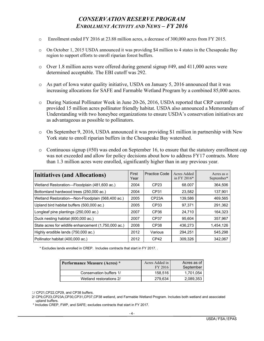# *CONSERVATION RESERVE PROGRAM ENROLLMENT ACTIVITY AND NEWS – FY 2016*

- o Enrollment ended FY 2016 at 23.88 million acres, a decrease of 300,000 acres from FY 2015.
- o On October 1, 2015 USDA announced it was providing \$4 million to 4 states in the Chesapeake Bay region to support efforts to enroll riparian forest buffers.
- $\circ$  Over 1.8 million acres were offered during general signup #49, and 411,000 acres were determined acceptable. The EBI cutoff was 292.
- o As part of Iowa water quality initiative, USDA on January 5, 2016 announced that it was increasing allocations for SAFE and Farmable Wetland Program by a combined 85,000 acres.
- o During National Pollinator Week in June 20-26, 2016, USDA reported that CRP currently provided 15 million acres pollinator friendly habitat. USDA also announced a Memorandum of Understanding with two honeybee organizations to ensure USDA's conservation initiatives are as advantageous as possible to pollinators.
- o On September 9, 2016, USDA announced it was providing \$1 million in partnership with New York state to enroll riparian buffers in the Chesapeake Bay watershed.
- $\circ$  Continuous signup (#50) was ended on September 16, to ensure that the statutory enrollment cap was not exceeded and allow for policy decisions about how to address FY17 contracts. More than 1.3 million acres were enrolled, significantly higher than in any previous year.

| <b>Initiatives (and Allocations)</b>                 | First<br>Year | <b>Practice Code</b> | Acres Added<br>in FY 2016 $*$ | Acres as o<br>September* |
|------------------------------------------------------|---------------|----------------------|-------------------------------|--------------------------|
| Wetland Restoration-Floodplain (481,600 ac.)         | 2004          | CP <sub>23</sub>     | 68.007                        | 364,506                  |
| Bottomland hardwood trees (250,000 ac.)              | 2004          | CP31                 | 23,582                        | 137,901                  |
| Wetland Restoration-Non-Floodplain (568,400 ac.)     | 2005          | CP <sub>23</sub> A   | 139,586                       | 469,565                  |
| Upland bird habitat buffers (500,000 ac.)            | 2005          | CP33                 | 97,371                        | 291,362                  |
| Longleaf pine plantings (250,000 ac.)                | 2007          | CP <sub>36</sub>     | 24,710                        | 164,323                  |
| Duck nesting habitat (600,000 ac.)                   | 2007          | CP <sub>37</sub>     | 95,604                        | 357,967                  |
| State acres for wildlife enhancement (1,750,000 ac.) | 2008          | CP <sub>38</sub>     | 436,273                       | 1,454,126                |
| Highly erodible lands (750,000 ac.)                  | 2012          | Various              | 294,251                       | 545,298                  |
| Pollinator habitat (400,000 ac.)                     | 2012          | CP <sub>42</sub>     | 309,326                       | 342,067                  |

\* Excludes lands enrolled in CREP. Includes contracts that start in FY 2017. .

| <b>Performance Measure (Acres)</b> * | Acres Added in<br>FY 2016 | Acres as of<br>September |
|--------------------------------------|---------------------------|--------------------------|
| Conservation buffers 1/              | 158.516                   | 1,701,054                |
| Wetland restorations 2/              | 279.634                   | 2,089,353                |

1/ CP21,CP22,CP29, and CP38 buffers.

\* Includes CREP, FWP, and SAFE; excludes contracts that start in FY 2017.

 <sup>2/</sup> CP9,CP23,CP23A,CP30,CP31,CP37,CP38 wetland, and Farmable Wetland Program. Includes both wetland and associated upland buffers.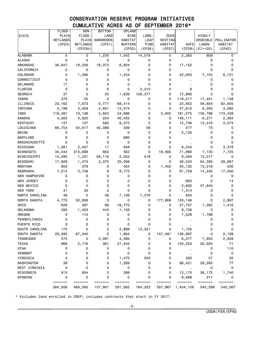# CONSERVATION RESERVE PROGRAM INITIATIVES CUMULATIVE ACRES AS OF SEPTEMBER 2016\*

|                      | FLOOD-             | NON-               | BOTTOM-          | <b>UPLAND</b>      |                    |                    |                      |                    |                    |
|----------------------|--------------------|--------------------|------------------|--------------------|--------------------|--------------------|----------------------|--------------------|--------------------|
| <b>STATE</b>         | PLAIN              | FLOOD-             | LAND             | BIRD               | LONG-              | <b>DUCK</b>        |                      | HIGHLY             |                    |
|                      | <b>WETLANDS</b>    | PLAIN              | <b>HARDWOODS</b> | HABITAT            | <b>LEAF</b>        | NESTING            |                      | ERODIBLE           | POLLINATOR         |
|                      | (CP23)             | <b>WETLANDS</b>    | (CP31)           | <b>BUFFERS</b>     | <b>PINE</b>        | HABITAT            | <b>SAFE</b>          | <b>LANDS</b>       | HABITAT            |
|                      |                    | (CP23A)            |                  | (CP33)             | (CP36)             | (CP37)             | (CP38)               | $(EI>=20)$         | (CP42)             |
| <b>ALABAMA</b>       | 5                  | 0                  | 1,235            | 1,042              | 14,079             | 0                  | 2,283                | 809                | 0                  |
| <b>ALASKA</b>        | 0                  | 0                  | 0                | 0                  | 0                  | 0                  |                      | 0                  | 0                  |
| <b>ARKANSAS</b>      | 36,647             | 19,226             | 18,373           | 6,854              | 0                  | 0                  | 17,152               | 0                  | 0                  |
| CALIFORNIA           | 0                  | 0                  | 0                | 0                  | 0                  | 0                  |                      | 0                  | 0                  |
| <b>COLORADO</b>      | 0                  | 1,295              | 0                | 1,224              | 0                  | 0                  | 42,933               | 7,104              | 6,721              |
| CONNECTICUT          | 0                  | 0                  | 0                | 0                  | 0                  | 0                  |                      | 0                  | 0                  |
| <b>DELAWARE</b>      | 17                 | 0                  | 0                | 0                  | 0                  | 0                  |                      | 0                  | 0                  |
| FLORIDA              | 0                  | 0                  | 0                | 0                  | 2,210              | 0                  | 9                    | 0                  | 0                  |
| GEORGIA              | 37                 | 0                  | 25               | 1,838              | 126,377            | 0                  | 12,890               | 0                  | 0                  |
| <b>IDAHO</b>         | 375                | 25                 | 0                | 0                  | 0                  | 0                  | 118,517              | 17,421             | 1,158              |
| ILLINOIS             | 23,162             | 7,873              | 5,777            | 68,414             | 0                  | 0                  | 23,952               | 59,604             | 82,605             |
| INDIANA              | 2,198              | 4,059              | 2,601            | 13,574             | 0                  | 0                  | 47,615               | 6,283              | 3,092              |
| <b>IOWA</b>          | 118,491            | 10,136             | 3,852            | 34,986             | 0                  | 2,602              | 181,575              | 156,796            | 173,439            |
| <b>KANSAS</b>        | 4,000              | 4,820              | 224              | 40,432             | 0                  | 0                  | 146,111              | 6,271              | 2,564              |
| <b>KENTUCKY</b>      | 137                | 137                | 590              | 8,272              | 0                  | 0                  | 12,708               | 13,316             | 3,574              |
| LOUISIANA            | 66,704             | 54,017             | 40,086           | 339                | 59                 | 0                  | 477                  | 73                 | 0                  |
| MAINE                | 0                  | 0                  | 0                | 0                  | 0                  | 0                  | 2,135                | 0                  | 0                  |
| MARYLAND             | 6                  | 0                  | 0                | 690                | 0                  | 0                  |                      | 0                  | 6                  |
| <b>MASSACHUSETTS</b> | 0                  | 0                  | $\mathbf 0$      | 0                  | 0                  | 0                  |                      | 0                  | 0                  |
| MICHIGAN             | 1,261              | 2,457              | 11               | 948                | 0                  | 0                  | 9,240                | 0                  | 3,378              |
| MINNESOTA            | 34,544             | 213,688            | 862              | 562                | 0                  | 18,560             | 71,966               | 7,135              | 7,725              |
| MISSISSIPPI          | 13,090             | 1,331              | 58,116           | 2,052              | 418                | 0                  | 9,094                | 13,017             | 0                  |
| MISSOURI             | 17,929             | 1,473              | 2,073            | 35,006             | 0                  | 0                  | 38,343               | 64,390             | 28,687             |
| <b>MONTANA</b>       | 655                | 379                | 0                | 404                | 0                  | 1,455              | 50,132               | 13,218             | 530                |
| NEBRASKA             | 7,214              | 3,736              | 9                | 9,772              | 0                  | 0                  | 91,729               | 14,245             | 17,400             |
| NEW HAMPSHIRE        | 0                  | 0                  | 0                | 0                  | 0                  | 0                  |                      | 0                  | 0                  |
| NEW JERSEY           | 0                  | 0                  | 0                | 0                  | 0                  | 0                  | 800                  | 0                  | 14                 |
| NEW MEXICO           | 0                  | 0                  | 0                | 0                  | 0                  | 0                  | 2,600                | 37,643             | 0                  |
| NEW YORK             | 41                 | 30                 | 2                | 0                  | 0                  | 0                  | 1,314                | 0                  | 0                  |
| NORTH CAROLINA       | 46                 | 0                  | 48               | 7,106              | 7,376              | 0                  | 834                  | 0                  | 5                  |
| NORTH DAKOTA         | 4,770              | 52,806             | 0                | 0                  | 0                  | 177,869            | 133,146              | 0                  | 2,897              |
| OHIO                 | 628                | 387                | 98               | 16,775             | 0                  | 0                  | 27,707               | 1,362              | 1,416              |
| <b>OKLAHOMA</b>      | 293                | 1,453              | 443              | 1,158              | 0                  | 0                  | 8,726                | 0                  | 0                  |
| OREGON               | 0                  | 115                | 0                | 0                  | 0                  | 0                  | 1,529                | 1,798              | 0                  |
| PENNSYLVANIA         | 0                  | 0                  | 0                | 0                  | 0                  | 0                  |                      | 0                  | 0                  |
| PUERTO RICO          | 0                  | 0                  | 0                | 0                  | 0                  | 0                  |                      | 0                  | 0                  |
| SOUTH CAROLINA       | 172                | 0                  | 5                | 2,889              | 13,301             | 0                  | 1,105                | 0                  | 0                  |
| SOUTH DAKOTA         | 29,590             | 87,340             | 0                | 1,664              | 0                  | 157,481            | 136,997              | 0                  | 2,199              |
| TENNESSEE            | 572                | 0                  | 3,091            | 4,360              | 0                  | 0                  | 8,577                | 7,953              | 2,639              |
| <b>TEXAS</b>         | 968                | 2,176              | 381              | 27,542             | 0                  | 0                  | 130,253              | 50,920             | 71                 |
| <b>UTAH</b>          | 0                  | 0                  | 0                | 0                  | 0                  | 0                  |                      | 0                  | 110                |
| <b>VERMONT</b>       | 0                  | 0                  | 0                | 0                  | 0                  | 0                  |                      | 0                  | 0                  |
| VIRGINIA             | 4                  | 0                  | 0                | 1,470              | 503                | 0                  | 393                  | 57                 | 20                 |
| WASHINGTON           | 39                 | 0                  | 0                | 1,289              | 0                  | 0                  | 98,421               | 29,393             | 77                 |
| WEST VIRGINIA        | 0                  | 0                  | 0                | 0                  | 0                  | 0                  |                      | 0                  | 0                  |
| WISCONSIN            | 913                | 604                | 0                | 398                | 0                  | 0                  | 13,175               | 36,172             | 1,740              |
| WYOMING              | 0                  | 0                  | 0<br>=======     | 0                  | 0                  | 0                  | 9,688                | 317                | 0                  |
|                      | =======<br>364,506 | =======<br>469,565 | 137,901          | =======<br>291,062 | =======<br>164,323 | =======<br>357,967 | =======<br>1,454,126 | =======<br>545,298 | =======<br>342,067 |

\* Excludes land enrolled in CREP; includes contracts that start in FY 2017.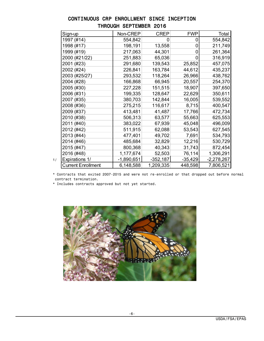| Sign-up                   | Non-CREP     | <b>CREP</b> | <b>FWP</b>  | Total        |
|---------------------------|--------------|-------------|-------------|--------------|
| 1997 (#14)                | 554,842      | 0           | 0           | 554,842      |
| 1998 (#17)                | 198,191      | 13,558      | $\mathbf 0$ | 211,749      |
| 1999 (#19)                | 217,063      | 44,301      | 0           | 261,364      |
| 2000 (#21/22)             | 251,883      | 65,036      | 0           | 316,919      |
| 2001 (#23)                | 291,680      | 139,543     | 25,852      | 457,075      |
| 2002 (#24)                | 226,841      | 163,784     | 44,612      | 435,237      |
| 2003 (#25/27)             | 293,532      | 118,264     | 26,966      | 438,762      |
| 2004 (#28)                | 166,868      | 66,945      | 20,557      | 254,370      |
| 2005 (#30)                | 227,228      | 151,515     | 18,907      | 397,650      |
| 2006 (#31)                | 199,335      | 128,647     | 22,629      | 350,611      |
| 2007 (#35)                | 380,703      | 142,844     | 16,005      | 539,552      |
| 2008 (#36)                | 275,215      | 116,617     | 8,715       | 400,547      |
| 2009 (#37)                | 413,481      | 41,487      | 17,766      | 472,734      |
| 2010 (#38)                | 506,313      | 63,577      | 55,663      | 625,553      |
| 2011 (#40)                | 383,022      | 67,939      | 45,048      | 496,009      |
| 2012 (#42)                | 511,915      | 62,088      | 53,543      | 627,545      |
| 2013 (#44)                | 477,401      | 49,702      | 7,691       | 534,793      |
| 2014 (#46)                | 485,684      | 32,829      | 12,216      | 530,729      |
| 2015 (#47)                | 800,368      | 40,343      | 31,743      | 872,454      |
| 2016 (#48)                | 1,177,674    | 52,503      | 76,114      | 1,306,291    |
| <b>Expirations 1/</b>     | $-1,890,651$ | $-352,187$  | $-35,429$   | $-2,278,267$ |
| <b>Current Enrollment</b> | 6,148,588    | 1,209,335   | 448,598     | 7,806,521    |

# CONTINUOUS CRP ENROLLMENT SINCE INCEPTION THROUGH SEPTEMBER 2016

 \* Contracts that exited 2007-2015 and were not re-enrolled or that dropped out before normal contract termination.

\* Includes contracts approved but not yet started.

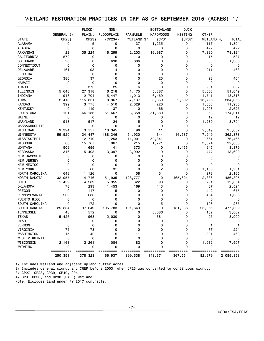## WETLAND RESTORATION PRACTICES IN CRP AS OF SEPTEMBER 2015 (ACRES) 1/

|                      |             | FLOOD-    | NON-              |                 | <b>BOTTOMLAND</b> | <b>DUCK</b> |              |              |
|----------------------|-------------|-----------|-------------------|-----------------|-------------------|-------------|--------------|--------------|
|                      | GENERAL 2/  | PLAIN.    | <b>FLOODPLAIN</b> | <b>FARMABLE</b> | <b>HARDWOODS</b>  | NESTING     | <b>OTHER</b> |              |
| <b>STATE</b>         | (CP23)      | (CP23)    | (CP23A)           | WETLAND 3/      | (CP31)            | (CP37)      | WETLAND 4/   | <b>TOTAL</b> |
| ALABAMA              | 0           | 5         | 0                 | 37              | 1,235             | 0           | 117          | 1,394        |
| <b>ALASKA</b>        | 0           | 0         | 0                 | 0               | 0                 | 0           | 422          | 422          |
| ARKANSAS             | 22          | 35,224    | 16,299            | 2,203           | 16,987            | 0           | 7,390        | 78,124       |
| CALIFORNIA           | 572         | 0         | 0                 | 0               | 0                 | 0           | 15           | 587          |
| <b>COLORADO</b>      | 26          | $\Omega$  | 698               | 606             | $\Omega$          | 0           | 50           | 1,380        |
| CONNECTICUT          | 0           | 0         | 0                 | 0               | 0                 | 0           | 0            | 0            |
| DELAWARE             | 161         | 93        | 4                 | 0               | 0                 | 0           | 211          | 468          |
| FLORIDA              | 0           | 0         | 0                 | 0               | $\Omega$          | 0           | 0            | 0            |
| GEORGIA              | 380         | 37        | 0                 | 0               | 25                | 0           | 23           | 464          |
| HAWAII               | 0           | 0         | 0                 | 0               | 0                 | 0           | 0            | 0            |
| <b>IDAHO</b>         | $\mathbf 0$ | 375       | 25                | 6               | $\Omega$          | 0           | 201          | 607          |
| ILLINOIS             | 5,648       | 27,318    | 6,218             | 1,475           | 5,387             | 0           | 5,003        | 51,049       |
| INDIANA              | 943         | 2,704     | 5,447             | 1,013           | 6,469             | 0           | 1,741        | 18,318       |
| IOWA                 | 2,413       | 115,851   | 8,967             | 87,137          | 3,659             | 2,602       | 13,726       | 234,356      |
| <b>KANSAS</b>        | 399         | 3,775     | 4,510             | 2,029           | 220               | 0           | 1,003        | 11,935       |
| <b>KENTUCKY</b>      | 0           | 119       | 137               | 0               | 466               | 0           | 1,903        | 2,625        |
| LOUISIANA            | 101         | 66,136    | 51,667            | 3,358           | 51,880            | 0           | 868          | 174,011      |
| MAINE                | 0           | 0         | 0                 | 0               | 0                 | 0           | 12           | 12           |
| MARYLAND             | 918         | 1,517     | 124               | 5               | 0                 | 0           | 1,230        | 3,794        |
| <b>MASSACHUSETTS</b> | 0           | 0         | 0                 | 0               | 0                 | 0           | 0            | 0            |
| MICHIGAN             | 9,394       | 3,157     | 10,345            | 96              | 11                | 0           | 2,049        | 25,052       |
| MINNESOTA            | 59,520      | 34,447    | 188,346           | 54,930          | 644               | 16,537      | 7,949        | 362,373      |
| MISSISSIPPI          | 0           | 12,710    | 1,253             | 11,001          | 50,841            | 0           | 661          | 76,466       |
| MISSOURI             | 88          | 15,767    | 967               | 215             | 1,771             | 0           | 3,824        | 22,633       |
| <b>MONTANA</b>       | 509         | 655       | 141               | 373             | 0                 | 1,455       | 245          | 3,379        |
| <b>NEBRASKA</b>      | 316         | 5,408     | 3,397             | 3,992           | 9                 | 0           | 477          | 13,600       |
| <b>NEW HAMPSHIRE</b> | 0           | 0         | 0                 | 0               | 0                 | 0           | 0            | 0            |
| NEW JERSEY           | 0           | 0         | 0                 | 0               | $\Omega$          | 0           | 4            | 4            |
| NEW MEXICO           | 0           | 0         | 0                 | 0               | 0                 | 0           | 0            | 0            |
| NEW YORK             | 2           | 60        | 31                | 0               | $\overline{c}$    | 0           | 1,155        | 1,251        |
| NORTH CAROLINA       | 648         | 1,126     | 0                 | 58              | 54                | $\mathbf 0$ | 278          | 2,165        |
| NORTH DAKOTA         | 132,957     | 4,716     | 51,935            | 128,777         | 0                 | 165,624     | 2,886        | 486,895      |
| OHIO                 | 1,459       | 4,289     | 5,955             | 322             | 98                | 0           | 731          | 12,854       |
| <b>OKLAHOMA</b>      | 78          | 293       | 1,453             | 169             | 443               | 0           | 87           | 2,524        |
| OREGON               | 0           | 117       | 115               | 0               | 0                 | 0           | 442          | 675          |
| PENNSYLVANIA         | 235         | 686       | 0                 | 0               | 0                 | 0           | 464          | 1,385        |
| PUERTO RICO          | 0           | 0         | 0                 | 0               | 0                 | 0           | 0            | 0            |
| SOUTH CAROLINA       | 0           | 172       | 0                 | 0               | 5                 | $\mathbf 0$ | 108          | 285          |
| SOUTH DAKOTA         | 25,834      | 37,649    | 105,783           | 101,643         | $\Omega$          | 181,336     | 25,065       | 477,309      |
| <b>TENNESSEE</b>     | 43          | 572       | 0                 | 0               | 3,086             | 0           | 162          | 3,862        |
| <b>TEXAS</b>         | 5,426       | 968       | 2,030             | 0               | 381               | 0           | 95           | 8,900        |
| <b>UTAH</b>          | 0           | 0         | 0                 | 0               | 0                 | 0           | 0            | 0            |
| VERMONT              | 0           | 0         | 0                 | 0               | 0                 | 0           | 1            | $\mathbf{1}$ |
| VIRGINIA             | 75          | 73        | 0                 | 0               | $\Omega$          | 0           | 77           | 224          |
| WASHINGTON           | 15          | 42        | 5                 | 11              | 0                 | 0           | 391          | 463          |
| WEST VIRGINIA        | 0           | 0         | 0                 | 0               | 0                 | 0           | 0            | 0            |
| WISCONSIN            | 2,168       | 2,261     | 1,084             | 82              | 0                 | 0           | 1,912        | 7,507        |
| WYOMING              | 0           | o         | 0                 | 0               | 0                 | 0           | 0            |              |
|                      | ==========  | ========= | =========         | =========       |                   |             | ========     | =========    |
|                      | 250,351     | 378,323   | 466,937           | 399,538         | 143,671           | 367,554     | 82,979       | 2,089,353    |

1/ Includes wetland and adjacent upland buffer acres.

2/ Includes general signup and CREP before 2003, when CP23 was converted to continuous signup.

3/ CP27, CP28, CP39, CP40, CP41.

4/ CP9, CP30, and CP38 (SAFE) wetland.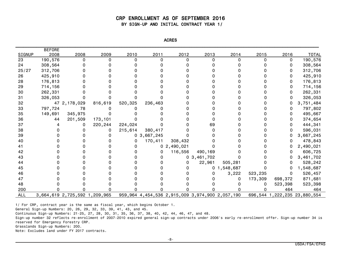#### CRP ENROLLMENT AS OF SEPTEMBER 2016 BY SIGN-UP AND INITIAL CONTRACT YEAR 1/

| <b>NCRL</b> |  |
|-------------|--|
|-------------|--|

| <b>SIGNUP</b> | <b>BEFORE</b><br>2008 | 2008                          | 2009    | 2010     | 2011                                            | 2012           | 2013           | 2014           | 2015     | 2016    | <b>TOTAL</b>                      |
|---------------|-----------------------|-------------------------------|---------|----------|-------------------------------------------------|----------------|----------------|----------------|----------|---------|-----------------------------------|
| 23            | 190,576               | 0                             | 0       | $\Omega$ | $\Omega$                                        | $\Omega$       |                | 0              | $\Omega$ | 0       | 190,576                           |
| 24            | 308,564               |                               |         |          |                                                 |                |                |                |          | 0       | 308,564                           |
| 25/27         | 312,706               |                               |         |          |                                                 |                |                |                |          | 0       | 312,706                           |
| 26            | 425,910               |                               |         |          |                                                 |                |                |                |          | 0       | 425,910                           |
| 28            | 176,813               |                               |         |          |                                                 |                |                |                |          | 0       | 176,813                           |
| 29            | 714,156               |                               |         |          |                                                 |                |                |                |          | 0       | 714,156                           |
| 30            | 262,331               |                               |         |          |                                                 |                |                |                |          | 0       | 262,331                           |
| 31            | 326,053               |                               |         |          |                                                 |                |                |                |          | 0       | 326,053                           |
| 32            |                       | 47 2, 178, 029                | 816,619 | 520,325  | 236,463                                         |                |                |                |          |         | 3,751,484                         |
| 33            | 797,724               | 78                            |         |          |                                                 |                |                |                |          | 0       | 797,802                           |
| 35            | 149,691               | 345,975                       |         |          |                                                 |                |                |                |          | 0       | 495,667                           |
| 36            | 44                    | 201,509                       | 173,101 |          |                                                 |                |                |                |          | 0       | 374,654                           |
| 37            |                       |                               | 220,244 | 224,024  |                                                 |                | 69             |                |          | 0       | 444,341                           |
| 38            |                       |                               |         | 215,614  | 380,417                                         |                |                |                |          | 0       | 596,031                           |
| 39            |                       |                               |         |          | 0, 3, 667, 245                                  |                |                |                |          | 0       | 3,667,245                         |
| 40            |                       |                               |         | 0        | 170,411                                         | 308,432        |                |                |          | 0       | 478,843                           |
| 41            |                       |                               |         | 0        |                                                 | 0, 2, 490, 021 |                |                |          |         | 2,490,021                         |
| 42            |                       |                               |         |          | 0                                               | 116,556        | 490,169        |                |          | 0       | 606,725                           |
| 43            |                       |                               |         |          | 0                                               |                | 0, 3, 461, 702 |                |          |         | 3,461,702                         |
| 44            |                       |                               |         |          |                                                 |                | 22,961         | 505,281        |          | 0       | 528,242                           |
| 45            |                       |                               |         |          |                                                 |                |                | 0, 1, 548, 687 |          | 0       | 1,548,687                         |
| 46            |                       |                               |         |          |                                                 |                |                | 3,222          | 523,235  | 0       | 526,457                           |
| 47            |                       |                               |         |          |                                                 |                |                |                | 173,309  | 698,372 | 871,681                           |
| 48            |                       |                               |         |          |                                                 |                |                |                |          | 523,398 | 523,398                           |
| 200           |                       |                               |         |          |                                                 |                |                |                |          | 464     | 464                               |
| ALL           |                       | 3,664,619 2,725,592 1,209,965 |         |          | 959,964 4,454,536 2,915,009 3,974,900 2,057,190 |                |                |                |          |         | 696, 544 1, 222, 235 23, 880, 554 |

1/ For CRP, contract year is the same as fiscal year, which begins October 1.

General Sign-up Numbers: 20, 26, 29, 32, 33, 39, 41, 43, and 45.

Continuous Sign-up Numbers: 21-25, 27, 28, 30, 31, 35, 36, 37, 38, 40, 42, 44, 46, 47, and 48.

Sign-up number 32 reflects re-enrollment of 2007-2010 expired general sign-up contracts under 2006's early re-enrollment offer. Sign-up number 34 is reserved for Emergency Forestry CRP.

Grasslands Sign-up Numbers: 200.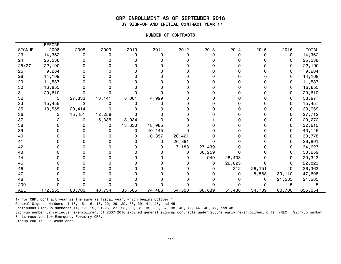#### CRP ENROLLMENT AS OF SEPTEMBER 2016 BY SIGN-UP AND INITIAL CONTRACT YEAR 1/

| -0F<br><b>NUMBE</b><br><b>CONTRA</b><br>' HAG⊥ |
|------------------------------------------------|
|                                                |

|            | <b>BEFORE</b> |          |          |        |          |          |          |        |        |        |              |
|------------|---------------|----------|----------|--------|----------|----------|----------|--------|--------|--------|--------------|
| SIGNUP     | 2008          | 2008     | 2009     | 2010   | 2011     | 2012     | 2013     | 2014   | 2015   | 2016   | <b>TOTAL</b> |
| 23         | 14,362        | $\Omega$ | $\Omega$ | 0      | $\Omega$ | $\Omega$ | $\Omega$ | 0      | 0      | 0      | 14,362       |
| 24         | 25,538        |          |          |        |          |          |          |        |        | 0      | 25,538       |
| 25/27      | 22,190        |          |          |        |          |          |          |        |        | 0      | 22,190       |
| 26         | 9,284         |          |          |        |          |          |          |        |        | O.     | 9,284        |
| 28         | 14,109        |          |          |        |          |          |          |        |        | 0      | 14,109       |
| 29         | 11,587        |          |          |        |          |          |          |        |        | 0      | 11,587       |
| 30         | 16,855        |          |          |        |          |          |          |        |        | 0      | 16,855       |
| 31         | 29,610        |          |          |        |          |          |          |        |        | 0      | 29,610       |
| 32         | 3             | 27,833   | 13,141   | 8,001  | 4,999    |          |          |        |        | 0      | 53,977       |
| 33         | 15,455        | 2        |          |        |          |          |          |        |        | 0      | 15,457       |
| 35         | 13,555        | 20,414   |          |        |          |          |          |        |        | 0      | 33,969       |
| 36         | З             | 15,451   | 12,258   |        |          |          |          |        |        | 0      | 27,712       |
| 37         |               | 0        | 15,335   | 13,934 |          |          |          |        |        | 0      | 29,272       |
| 38         |               |          | 0        | 13,630 | 18,985   |          |          |        |        | 0      | 32,615       |
| 39         |               |          |          | 0      | 40,145   |          |          |        |        | 0      | 40,145       |
| 40         |               |          |          | 0      | 10,357   | 20,421   |          |        |        | 0      | 30,778       |
| 41         |               |          |          |        | 0        | 26,891   |          |        |        | 0      | 26,891       |
| 42         |               |          |          |        | 0        | 7,188    | 27,439   |        |        | 0      | 34,627       |
| 43         |               |          |          |        | O        | 0        | 38,259   |        |        | 0      | 38,259       |
| 44         |               |          |          |        |          | 0        | 940      | 28,403 |        | 0      | 29,343       |
| 45         |               |          |          |        |          |          | 0        | 22,823 |        | 0      | 22,823       |
| 46         |               |          |          |        |          |          |          | 212    | 26,151 | 0      | 26,363       |
| 47         |               |          |          |        |          |          |          | 0      | 8,588  | 39,110 | 47,698       |
| 48         |               |          |          |        |          |          |          |        | 0      | 21,585 | 21,585       |
| 200        |               |          |          |        |          |          |          |        |        | 5      |              |
| <b>ALL</b> | 172,553       | 63,700   | 40,734   | 35,565 | 74,486   | 54,500   | 66,639   | 51,438 | 34,739 | 60,700 | 655,054      |

1/ For CRP, contract year is the same as fiscal year, which begins October 1.

General Sign-up Numbers: 1-13, 15, 16, 18, 20, 26, 29, 33, 39, 41, 43, and 45.

Continuous Sign-up Numbers: 14, 17, 19, 21-25, 27, 28, 30, 31, 35, 36, 37, 38, 40, 42, 44, 46, 47, and 48.

Sign-up number 32 reflects re-enrollment of 2007-2010 expired general sign-up contracts under 2006's early re-enrollment offer (REX). Sign-up number 34 is reserved for Emergency Forestry CRP.

Signup 200 is CRP Grasslands.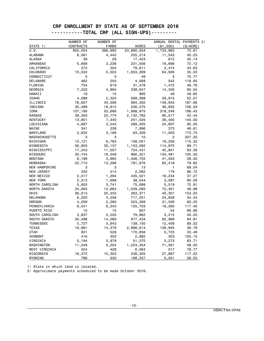#### CRP ENROLLMENT BY STATE AS OF SEPTEMBER 2016 -----------TOTAL CRP (ALL SIGN-UPS)---------

|                      | NUMBER OF | NUMBER OF    |                    | ANNUAL RENTAL PAYMENTS 2/ |             |
|----------------------|-----------|--------------|--------------------|---------------------------|-------------|
| STATE 1/             | CONTRACTS | <b>FARMS</b> | <b>ACRES</b>       | ( \$1,000)                | $(\$/ACRE)$ |
| U.S.                 | 655,054   | 366,965      | 23,880,554         | 1,733,963                 | 72.61       |
| <b>ALABAMA</b>       | 6,081     | 4,442        | 255,214            | 11,543                    | 45.23       |
| <b>ALASKA</b>        | 36        | 29           | 17,423             | 612                       | 35.14       |
| ARKANSAS             | 5,689     | 3,236        | 231,506            | 16,696                    | 72.12       |
| CALIFORNIA           | 272       | 204          | 79,611             | 3,474                     | 43.63       |
| <b>COLORADO</b>      | 10,532    | 5,503        | 1,853,269          | 64,926                    | 35.03       |
| CONNECTICUT          | 5         | 5            | 49                 | 3                         | 70.77       |
| DELAWARE             | 462       | 250          | 4,568              | 542                       | 118.65      |
| FLORIDA              | 754       | 619          | 31,478             | 1,472                     | 46.76       |
| GEORGIA              | 7,222     | 4,894        | 238,647            | 14,329                    | 60.04       |
| HAWAII               | 19        | 15           | 995                | 49                        | 49.65       |
| <b>IDAHO</b>         | 4,096     | 2,320        | 569,089            | 29,915                    | 52.57       |
| ILLINOIS             | 78,657    | 43,599       | 894,302            | 149,943                   | 167.66      |
| INDIANA              | 35,489    | 19,912       | 236,075            | 36,835                    | 156.03      |
| IOWA                 | 107,190   | 53,686       | 1,688,975          | 318,248                   | 188.43      |
| <b>KANSAS</b>        | 39,350    | 22,774       | 2,132,782          | 90,517                    | 42.44       |
| KENTUCKY             | 13,851    | 7,440        | 251,035            | 36,400                    | 145.00      |
| LOUISIANA            | 4,697     | 3,042        | 289,305            | 24,607                    | 85.05       |
| MAINE                | 341       | 238          | 7,996              | 373                       | 46.61       |
| MARYLAND             | 5,632     | 3,168        | 63,326             | 11,003                    | 173.74      |
| <b>MASSACHUSETTS</b> | 3         | 3            | 10                 | 2                         | 207.20      |
| MICHIGAN             | 12,121    | 6,783        | 158,051            | 18,226                    | 115.32      |
| MINNESOTA            | 56,903    | 30,137       | 1,153,092          | 114,975                   | 99.71       |
| MISSISSIPPI          | 17,243    | 11,007       | 724,431            | 45,841                    | 63.28       |
| MISSOURI             | 30,744    | 18,049       | 990,321            | 104,481                   | 105.50      |
| <b>MONTANA</b>       | 8,199     | 3,665        | 1,408,702          | 41,553                    | 29.50       |
| NEBRASKA             | 22,710    | 13,296       | 781,976            | 62,418                    | 79.82       |
| NEW HAMPSHIRE        | 3         | 3            | 13                 | 1                         | 69.04       |
| NEW JERSEY           | 332       | 214          | 2,062              | 179                       | 86.72       |
| NEW MEXICO           | 2,017     | 1,294        | 435,521            | 16,234                    | 37.27       |
| NEW YORK             | 2,312     | 1,698        | 38,544             | 3,087                     | 80.09       |
| NORTH CAROLINA       | 5,605     | 3,741        | 75,699             | 5,519                     | 72.91       |
| NORTH DAKOTA         | 24,563    | 12,664       | 1,539,085          | 72,301                    | 46.98       |
| OHIO                 | 36,513    | 20,333       | 263,371            | 40,301                    | 153.02      |
| OKLAHOMA             | 6,250     | 4,258        | 717,251            | 24,628                    | 34.34       |
| OREGON               | 4,209     | 2,280        | 523,269            | 31,526                    | 60.25       |
| PENNSYLVANIA         | 9,541     | 6,343        | 155,703            | 18,280                    | 117.40      |
| PUERTO RICO          | 15        | 15           | 807                | 54                        | 66.86       |
| SOUTH CAROLINA       | 3,837     | 2,220        | 79,962             | 3,215                     | 40.20       |
| SOUTH DAKOTA         | 30,498    | 14,089       | 977,434            | 82,989                    | 84.91       |
| <b>TENNESSEE</b>     | 5,727     | 3,843        | 139,150            | 12,456                    | 89.52       |
| <b>TEXAS</b>         | 19,961    | 14,378       | 2,988,614          | 109,945                   | 36.79       |
| UTAH                 | 831       | 529          | 170,856            | 5,723                     | 33.49       |
| <b>VERMONT</b>       | 416       | 302          | 2,882              | 303                       | 105.15      |
| VIRGINIA             | 5,194     | 3,978        | 51,370             | 3,273                     | 63.71       |
| WASHINGTON           | 11,248    | 5,204        | 1,223,354          | 71,561                    | 58.50       |
| WEST VIRGINIA        | 524       | 428          | 6,564              | 517                       | 78.77       |
| WISCONSIN            | 16,372    | 10,303       |                    |                           | 117.02      |
| WYOMING              | 786       | 530          | 238,305<br>188,337 | 27,887<br>5,001           | 26.55       |

1/ State in which land is located.

2/ Approximate payments scheduled to be made October 2016.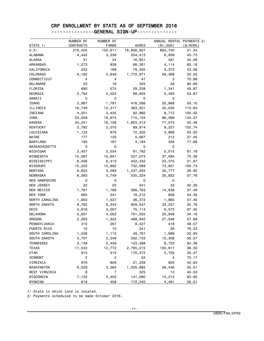# CRP ENROLLMENT BY STATE AS OF SEPTEMBER 2016

|                      | NUMBER OF | NUMBER OF    |              | ANNUAL RENTAL PAYMENTS 2/ |              |
|----------------------|-----------|--------------|--------------|---------------------------|--------------|
| STATE 1/             | CONTRACTS | <b>FARMS</b> | <b>ACRES</b> | ( \$1,000)                | $(\$/ACRE)$  |
| U.S.                 | 218,425   | 152,611      | 16,856,927   | 863,740                   | 51.24        |
| ALABAMA              | 4,442     | 3,336        | 204,413      | 8,939                     | 43.73        |
| ALASKA               | 31        | 24           | 16,951       | 581                       | 34.28        |
| <b>ARKANSAS</b>      | 1,273     | 939          | 68,381       | 4,114                     | 60.16        |
| CALIFORNIA           | 232       | 169          | 78,300       | 3,373                     | 43.08        |
| COLORADO             | 9,182     | 4,948        | 1,772,971    | 59,388                    | 33.50        |
| CONNECTICUT          | 4         | 4            | 47           | 3                         | 70.88        |
| DELAWARE             | 23        | 19           | 325          | 26                        | 80.69        |
| FLORIDA              | 690       | 574          | 29,238       | 1,341                     | 45.87        |
| GEORGIA              | 2,794     | 2,022        | 99,925       | 5,383                     | 53.87        |
| HAWAII               | 0         | 0            | 0            | 0                         | $\mathbf{r}$ |
| <b>IDAHO</b>         | 2,987     | 1,791        | 416,566      | 20,868                    | 50.10        |
| ILLINOIS             | 16,749    | 12,317       | 363,501      | 42,035                    | 115.64       |
| INDIANA              | 4,251     | 3,435        | 82,960       | 8,712                     | 105.02       |
| IOWA                 | 23,009    | 16,874       | 715, 154     | 96,099                    | 134.37       |
| <b>KANSAS</b>        | 24,241    | 16,106       | 1,903,413    | 77,075                    | 40.49        |
| <b>KENTUCKY</b>      | 2,792     | 2,075        | 89,814       | 9,227                     | 102.74       |
| LOUISIANA            | 1,133     | 878          | 72,302       | 3,868                     | 53.50        |
| MAINE                | 177       | 130          | 5,667        | 212                       | 37.45        |
| MARYLAND             | 195       | 167          | 4,194        | 326                       | 77.68        |
| <b>MASSACHUSETTS</b> | 0         | 0            | 0            | 0                         | Ĭ.           |
| MICHIGAN             | 2,457     | 2,034        | 61,782       | 5,015                     | 81.18        |
| MINNESOTA            | 15,067    | 10,951       | 527,073      | 37,084                    | 70.36        |
| MISSISSIPPI          | 8,456     | 6,413        | 452,432      | 23,375                    | 51.67        |
| MISSOURI             | 15,232    | 10,892       | 732,589      | 73,801                    | 100.74       |
| <b>MONTANA</b>       | 6,622     | 3,099        | 1,237,045    | 35,777                    | 28.92        |
| <b>NEBRASKA</b>      | 8,093     | 5,749        | 535,324      | 30,922                    | 57.76        |
| <b>NEW HAMPSHIRE</b> | 0         | 0            | 0            | 0                         |              |
| <b>NEW JERSEY</b>    | 22        | 20           | 541          | 23                        | 42.26        |
| NEW MEXICO           | 1,791     | 1,168        | 395,763      | 14,838                    | 37.49        |
| NEW YORK             | 685       | 541          | 18,210       | 808                       | 44.39        |
| NORTH CAROLINA       | 1,950     | 1,537        | 36,272       | 1,865                     | 51.40        |
| NORTH DAKOTA         | 9,782     | 6,343        | 929,547      | 33,257                    | 35.78        |
| OHIO                 | 3,618     | 3,007        | 75,114       | 6,573                     | 87.50        |
| <b>OKLAHOMA</b>      | 5,831     | 4,002        | 701,055      | 23,946                    | 34.16        |
| OREGON               | 2,263     | 1,323        | 468,940      | 27,046                    | 57.68        |
| PENNSYLVANIA         | 310       | 267          | 8,427        | 418                       | 49.57        |
|                      |           |              |              |                           |              |
| PUERTO RICO          | 10        | 10           | 341          | 26                        | 76.23        |
| SOUTH CAROLINA       | 1,526     | 1,115        | 49,761       | 1,689                     | 33.93        |
| SOUTH DAKOTA         | 3,757     | 2,549        | 302,733      | 15,308                    | 50.57        |
| <b>TENNESSEE</b>     | 3,139     | 2,459        | 103,399      | 8,725                     | 84.38        |
| <b>TEXAS</b>         | 17,533    | 12,772       | 2,765,015    | 100,917                   | 36.50        |
| <b>UTAH</b>          | 810       | 515          | 170,472      | 5,705                     | 33.47        |
| <b>VERMONT</b>       | 2         | 2            | 52           | 4                         | 73.17        |
| VIRGINIA             | 976       | 809          | 21,239       | 905                       | 42.63        |
| WASHINGTON           | 6,529     | 3,360        | 1,025,885    | 56,436                    | 55.01        |
| WEST VIRGINIA        | 8         | 7            | 325          | 13                        | 40.53        |
| WISCONSIN            | 7,132     | 5,450        | 141,080      | 13,212                    | 93.65        |
| WYOMING              | 618       | 408          | 172,240      | 4,481                     | <u>26.01</u> |

---------------GENERAL SIGN-UP--------------

1/ State in which land is located.

2/ Payments scheduled to be made October 2016.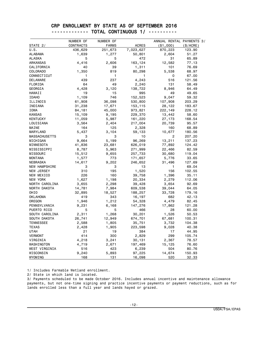#### CRP ENROLLMENT BY STATE AS OF SEPTEMBER 2016 ------------- TOTAL CONTINUOUS 1/ ----------

|                            | NUMBER OF | NUMBER OF    |              | ANNUAL RENTAL PAYMENTS 3/ |                |
|----------------------------|-----------|--------------|--------------|---------------------------|----------------|
| STATE 2/                   | CONTRACTS | <b>FARMS</b> | <b>ACRES</b> | ( \$1,000)                | (\$/ACRE)      |
| U.S.                       | 436,629   | 251,673      | 7,023,627    | 870,223                   | 123.90         |
| <b>ALABAMA</b>             | 1,639     | 1,277        | 50,801       | 2,604                     | 51.27          |
| <b>ALASKA</b>              | 5         | 5            | 472          | 31                        | 65.89          |
| ARKANSAS                   | 4,416     | 2,606        | 163,124      | 12,582                    | 77.13          |
| CALIFORNIA                 | 40        | 39           | 1,311        | 101                       | 76.69          |
| COLORADO                   | 1,350     | 819          | 80,298       | 5,538                     | 68.97          |
| CONNECTICUT                | 1         | 1            | 1            | 0                         | 67.00          |
| <b>DELAWARE</b>            | 439       | 237          | 4,243        | 516                       | 121.56         |
| FLORIDA                    | 64        | 49           | 2,240        | 131                       | 58.49          |
| GEORGIA                    | 4,428     | 3,120        | 138,722      | 8,946                     | 64.49          |
| HAWAII                     | 19        | 15           | 995          | 49                        | 49.65          |
| <b>IDAHO</b>               | 1,109     | 746          | 152,523      | 9,047                     | 59.32          |
| ILLINOIS                   | 61,908    | 36,098       | 530,800      | 107,908                   | 203.29         |
| INDIANA                    | 31,238    | 17,671       | 153,115      | 28,122                    | 183.67         |
| IOWA                       | 84,181    | 45,000       | 973,821      | 222,149                   | 228.12         |
| <b>KANSAS</b>              | 15,109    | 9,195        | 229,370      | 13,442                    | 58.60          |
| <b>KENTUCKY</b>            | 11,059    | 5,987        | 161,220      | 27,173                    | 168.54         |
| LOUISIANA                  | 3,564     | 2,404        | 217,004      | 20,739                    | 95.57          |
| MAINE                      | 164       | 125          | 2,328        | 160                       | 68.89          |
| MARYLAND                   | 5,437     | 3,104        | 59,133       | 10,677                    | 180.56         |
| <b>MASSACHUSETTS</b>       | 3         | 3            | 10           | 2                         | 207.20         |
| MICHIGAN                   | 9,664     | 5,199        | 96,269       | 13,211                    | 137.23         |
| MINNESOTA                  | 41,836    | 23,681       | 626,019      | 77,892                    | 124.42         |
| MISSISSIPPI                | 8,787     | 5,963        | 271,999      | 22,466                    | 82.59          |
| MISSOURI                   | 15,512    | 9,655        | 257,733      | 30,680                    | 119.04         |
| <b>MONTANA</b>             | 1,577     | 773          | 171,657      | 5,776                     | 33.65          |
| NEBRASKA                   | 14,617    | 9,202        | 246,652      | 31,496                    | 127.69         |
| NEW HAMPSHIRE              | з         | 3            | 13           | 1                         | 69.04          |
| NEW JERSEY                 | 310       | 195          | 1,520        | 156                       | 102.55         |
| NEW MEXICO                 | 226       | 160          | 39,758       | 1,396                     | 35.11          |
| NEW YORK                   | 1,627     | 1,198        | 20,334       | 2,279                     | 112.06         |
| NORTH CAROLINA             | 3,655     | 2,298        | 39,428       | 3,654                     | 92.69          |
| NORTH DAKOTA               | 14,781    | 7,984        | 609,538      | 39,044                    | 64.05          |
| OHIO                       | 32,895    | 18,527       | 188,257      | 33,728                    | 179.16         |
| <b>OKLAHOMA</b>            | 419       | 343          | 16,197       | 682                       | 42.13          |
| OREGON                     | 1,946     | 1,212        | 54,328       | 4,479                     | 82.45          |
| PENNSYLVANIA               | 9,231     | 6,168        | 147,276      | 17,862                    | 121.28         |
| PUERTO RICO                | 5         | 5            | 466          | 28                        | 60.00          |
| SOUTH CAROLINA             | 2,311     | 1,268        | 30,201       | 1,526                     | 50.53          |
| SOUTH DAKOTA               | 26,741    | 12,949       | 674,701      | 67,681                    | 100.31         |
| <b>TENNESSEE</b>           | 2,588     | 1,805        | 35,751       | 3,732                     | 104.38         |
| TEXAS                      | 2,428     | 1,905        | 223,598      | 9,028                     | 40.38          |
| <b>UTAH</b>                | 21        | 19           | 384          | 17                        | 44.95          |
| <b>VERMONT</b>             | 414       | 300          | 2,829        | 299                       | 105.74         |
| VIRGINIA                   | 4,218     |              |              |                           | 78.57          |
| WASHINGTON                 | 4,719     | 3,241        | 30,131       | 2,367<br>15,125           |                |
|                            | 516       | 2,671<br>423 | 197,469      | 504                       | 76.60<br>80.76 |
| WEST VIRGINIA<br>WISCONSIN |           |              | 6,239        |                           |                |
|                            | 9,240     | 5,893        | 97,225       | 14,674                    | 150.93         |
| WYOMING                    | 168       | 131          | 16,098       | 520                       | 32.33          |

1/ Includes Farmable Wetland enrollment.

2/ State in which land is located.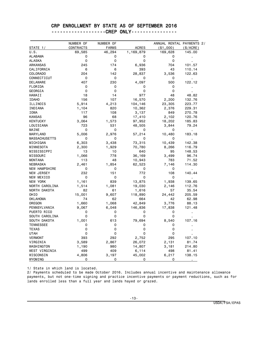#### CRP ENROLLMENT BY STATE AS OF SEPTEMBER 2016

-------------------CREP ONLY----------------

|                             | NUMBER OF  | NUMBER OF    |              | ANNUAL RENTAL PAYMENTS 2/ |          |
|-----------------------------|------------|--------------|--------------|---------------------------|----------|
| STATE 1/                    | CONTRACTS  | <b>FARMS</b> | <b>ACRES</b> | ( \$1,000)                | (S/ACRE) |
| U.S.                        | 69,585     | 46,294       | 1,169,879    | 169,628                   | 145.00   |
| <b>ALABAMA</b>              | 0          | 0            | 0            | 0                         |          |
| <b>ALASKA</b>               | 0          | 0            | 0            | 0                         |          |
| ARKANSAS                    | 245        | 174          | 6,936        | 704                       | 101.57   |
| CALIFORNIA                  | 6          | 6            | 393          | 43                        | 110.14   |
| COLORADO                    | 204        | 142          | 28,837       | 3,536                     | 122.63   |
| CONNECTICUT                 | $\Omega$   | 0            | 0            | 0                         | ÷,       |
| DELAWARE                    | 407        | 230          | 4,097        | 500                       | 122.12   |
| FLORIDA                     | 0          | 0            | 0            | 0                         | Ĭ.       |
| GEORGIA                     | 0          | 0            | 0            | 0                         |          |
| HAWAII                      | 18         | 14           | 977          | 48                        | 48.82    |
| <b>IDAHO</b>                | 156        | 107          | 16,570       | 2,200                     | 132.76   |
| ILLINOIS                    | 5,914      | 4,213        | 104,146      | 23,305                    | 223.77   |
| INDIANA                     | 1,104      | 820          | 10,362       | 2,376                     | 229.31   |
| IOWA                        | 117        | 108          | 3,137        | 849                       | 270.78   |
| <b>KANSAS</b>               | 96         | 68           | 17,410       | 2,102                     | 120.76   |
| <b>KENTUCKY</b>             | 3,064      | 1,573        | 97,952       | 18,202                    | 185.83   |
| LOUISIANA                   | 723        | 531          | 48,505       | 3,844                     | 79.24    |
| MAINE                       | 0          | 0            | 0            | 0                         |          |
| MARYLAND                    | 5,006      | 2,976        | 57,214       | 10,480                    | 183.18   |
| MASSACHUSETTS               | 0          | 0            | 0            | 0                         |          |
| MICHIGAN                    | 6,303      | 3,438        | 73,315       | 10,439                    | 142.38   |
| MINNESOTA                   | 2,300      | 1,929        | 70,780       | 8,266                     | 116.79   |
| MISSISSIPPI                 | 13         | 10           | 640          | 95                        | 148.53   |
| MISSOURI                    | 1,066      | 778          | 36,169       | 3,499                     | 96.74    |
| <b>MONTANA</b>              | 113        | 48           | 10,943       | 783                       | 71.52    |
| <b>NEBRASKA</b>             | 2,461      | 1,854        | 62,523       | 7,146                     | 114.30   |
| <b>NEW HAMPSHIRE</b>        | 0          | 0            | 0            | 0                         |          |
| NEW JERSEY                  | 232        | 151          | 772          | 108                       | 140.44   |
| NEW MEXICO                  | 0          | 0            | 0            | 0                         |          |
| NEW YORK                    | 1,161      | 839          | 13,875       | 1,938                     | 139.65   |
| NORTH CAROLINA              | 1,514      | 1,081        | 19,030       | 2,146                     | 112.76   |
| NORTH DAKOTA                | 82         | 61           | 1,616        | 57                        | 35.54    |
| OHIO                        | 15,001     | 9,607        | 118,890      | 24,442                    | 205.59   |
| <b>OKLAHOMA</b>             | 74         | 62           | 664          | 42                        | 62.98    |
| OREGON                      | 1,660      | 1,068        | 42,849       | 3,776                     | 88.13    |
| PENNSYLVANIA                | 9,067      | 6,048        | 146,836      | 17,838                    | 121.48   |
| PUERTO RICO                 | 0          | 0            | 0            | 0                         | ä,       |
| SOUTH CAROLINA              | 0          | 0            | 0            | 0                         |          |
| SOUTH DAKOTA                | 1,001      | 613          | 79,694       | 8,540                     | 107.16   |
| <b>TENNESSEE</b>            | 0          | 0            | 0            | 0                         |          |
| <b>TEXAS</b>                | 0          | 0            | 0            | 0                         |          |
| <b>UTAH</b>                 | 0          | 0            | 0            | 0                         |          |
| <b>VERMONT</b>              | 393        | 292          |              | 295                       |          |
|                             |            |              | 2,752        |                           | 107.10   |
| VIRGINIA                    | 3,589      | 2,867        | 26,072       | 2,131                     | 81.74    |
| WASHINGTON                  | 1,190      | 980          | 14,807       | 3,181                     | 214.80   |
| WEST VIRGINIA               | 499        | 409          | 6,114        | 498                       | 81.41    |
| WISCONSIN<br><b>WYOMING</b> | 4,806<br>0 | 3,197<br>0   | 45,002<br>0  | 6,217<br>0                | 138.15   |

1/ State in which land is located.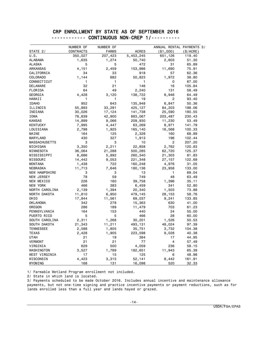#### CRP ENROLLMENT BY STATE AS OF SEPTEMBER 2016 ------------ CONTINUOUS NON-CREP 1/----------

|                             | NUMBER OF | NUMBER OF    |               | ANNUAL RENTAL PAYMENTS 3/ |             |
|-----------------------------|-----------|--------------|---------------|---------------------------|-------------|
| STATE 2/                    | CONTRACTS | <b>FARMS</b> | <b>ACRES</b>  | ( \$1,000)                | $(\$/ACRE)$ |
| U.S.                        | 350,027   | 207,423      | 5,453,245     | 651,126                   | 119.40      |
| <b>ALABAMA</b>              | 1,635     | 1,274        | 50,740        | 2,603                     | 51.30       |
| <b>ALASKA</b>               | 5         | 5            | 472           | 31                        | 65.89       |
| ARKANSAS                    | 4,151     | 2,459        | 153,986       | 11,690                    | 75.91       |
| CALIFORNIA                  | 34        | 33           | 918           | 57                        | 62.36       |
| COLORADO                    | 1,144     | 682          | 50,823        | 1,972                     | 38.80       |
| CONNECTICUT                 | 1         | 1            | 1             | 0                         | 67.00       |
| DELAWARE                    | 32        | 21           | 146           | 16                        | 105.84      |
| FLORIDA                     | 64        | 49           | 2,240         | 131                       | 58.49       |
| GEORGIA                     | 4,428     | 3,120        | 138,722       | 8,946                     | 64.49       |
| HAWAII                      | 1         | 1            | 19            | 2                         | 93.40       |
| <b>IDAHO</b>                | 952       | 643          | 135,948       | 6,847                     | 50.36       |
| ILLINOIS                    | 55,893    | 33,291       | 425,127       | 84,203                    | 198.06      |
| INDIANA                     | 30,026    | 17,124       | 141,738       | 25,590                    | 180.55      |
| IOWA                        | 78,839    | 42,900       | 883,067       | 203,487                   | 230.43      |
| <b>KANSAS</b>               | 14,899    | 9,066        | 209,930       | 11,230                    | 53.49       |
| <b>KENTUCKY</b>             | 7,995     | 4,447        | 63,269        | 8,971                     | 141.79      |
| LOUISIANA                   | 2,798     | 1,925        | 165,140       | 16,568                    | 100.33      |
| MAINE                       | 164       | 125          | 2,328         | 160                       | 68.89       |
| MARYLAND                    | 430       | 327          | 1,913         | 196                       | 102.44      |
| <b>MASSACHUSETTS</b>        | 3         | 3            | 10            | $\overline{2}$            | 207.20      |
| MICHIGAN                    | 3,350     | 2,211        | 22,858        | 2,762                     | 120.83      |
| MINNESOTA                   | 36,064    | 21,288       | 500,285       | 62,720                    | 125.37      |
| MISSISSIPPI                 | 8,686     | 5,892        | 260,340       | 21,303                    | 81.83       |
| MISSOURI                    | 14,442    | 9,053        | 221,348       | 27,157                    | 122.69      |
| <b>MONTANA</b>              | 1,438     | 722          | 160,248       | 4,976                     | 31.05       |
| NEBRASKA                    | 11,713    | 7,646        | 180,136       | 23,958                    | 133.00      |
| <b>NEW HAMPSHIRE</b>        | 3         | 3            | 13            | 1                         | 69.04       |
| NEW JERSEY                  | 78        | 59           | 749           | 48                        | 63.49       |
| NEW MEXICO                  | 226       | 160          | 39,758        | 1,396                     | 35.11       |
| NEW YORK                    | 466       | 383          | 6,459         | 341                       | 52.80       |
| NORTH CAROLINA              | 2,139     | 1,394        | 20,340        | 1,503                     | 73.88       |
| NORTH DAKOTA                | 11,810    | 6,950        | 479,145       | 28,153                    | 58.76       |
| OHIO                        | 17,844    | 11,561       | 69,037        | 9,241                     | 133.85      |
| <b>OKLAHOMA</b>             | 342       | 278          | 15,363        | 630                       | 41.00       |
| OREGON                      | 286       | 189          | 11,479        | 703                       | 61.23       |
| PENNSYLVANIA                | 164       | 153          | 440           | 24                        | 55.00       |
| PUERTO RICO                 | 5         | 5            | 466           | 28                        | 60.00       |
| SOUTH CAROLINA              | 2,311     | 1,268        | 30,201        | 1,526                     | 50.53       |
| SOUTH DAKOTA                | 21,343    | 11,211       | 493,131       | 48,024                    | 97.39       |
| <b>TENNESSEE</b>            | 2,588     | 1,805        | 35,751        | 3,732                     | 104.38      |
| <b>TEXAS</b>                | 2,428     | 1,905        | 223,598       | 9,028                     | 40.38       |
| <b>UTAH</b>                 | 21        | 19           | 384           | 17                        | 44.95       |
| VERMONT                     | 21        | 21           | 77            | 4                         | 57.49       |
| VIRGINIA                    | 629       | 500          | 4,059         | 236                       | 58.15       |
|                             | 3,527     | 1,789        |               | 11,943                    | 65.39       |
| WASHINGTON<br>WEST VIRGINIA | 17        |              | 182,651       |                           | 48.98       |
| WISCONSIN                   | 4,423     | 15<br>3,315  | 125<br>52,141 | 6<br>8,442                | 161.91      |
| WYOMING                     | 168       | 131          | 16,098        | 520                       | 32.33       |

1/ Farmable Wetland Program enrollment not included.

2/ State in which land is located.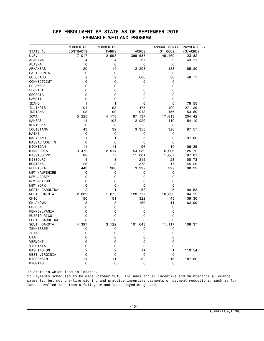#### CRP ENROLLMENT BY STATE AS OF SEPTEMBER 2016 -----------FARMABLE WETLAND PROGRAM----------

|                      | NUMBER OF      | NUMBER OF      |              | ANNUAL RENTAL PAYMENTS 2/ |                |
|----------------------|----------------|----------------|--------------|---------------------------|----------------|
| STATE 1/             | CONTRACTS      | <b>FARMS</b>   | <b>ACRES</b> | $(*1,000)$                | $(\$/ACRE)$    |
| U.S.                 | 17,017         | 12,998         | 399,538      | 49,469                    | 123.82         |
| <b>ALABAMA</b>       | 4              | 4              | 37           | 2                         | 43.11          |
| <b>ALASKA</b>        | $\mathbf 0$    | 0              | 0            | 0                         | $\blacksquare$ |
| <b>ARKANSAS</b>      | 20             | 14             | 2,203        | 188                       | 85.20          |
| CALIFORNIA           | 0              | 0              | 0            | 0                         | ×              |
| <b>COLORADO</b>      | 2              | $\overline{2}$ | 606          | 30                        | 48.71          |
| CONNECTICUT          | 0              | 0              | 0            | 0                         |                |
| <b>DELAWARE</b>      | 0              | 0              | 0            | 0                         |                |
| FLORIDA              | $\Omega$       | 0              | 0            | 0                         |                |
| GEORGIA              | 0              | 0              | 0            | 0                         |                |
| HAWAII               | 0              | $\mathbf 0$    | $\Omega$     | 0                         |                |
| <b>IDAHO</b>         | 1              | 1              | 6            | 0                         | 78.55          |
| ILLINOIS             | 101            | 93             | 1,475        | 400                       | 271.29         |
| INDIANA              | 108            | 99             | 1,013        | 156                       | 153.89         |
| <b>IOWA</b>          | 5,225          | 4,178          | 87,137       | 17,813                    | 204.42         |
| <b>KANSAS</b>        | 114            | 108            | 2,029        | 110                       | 54.10          |
| <b>KENTUCKY</b>      | 0              | 0              | 0            | 0                         | $\blacksquare$ |
| LOUISIANA            | 43             | 32             | 3,358        | 328                       | 97.57          |
| MAINE                | 0              | 0              | 0            | 0                         | $\blacksquare$ |
| MARYLAND             | 1              | 1              | 5            | 0                         | 97.00          |
| <b>MASSACHUSETTS</b> | 0              | 0              | 0            | 0                         | $\blacksquare$ |
| MICHIGAN             | 11             | 11             | 96           | 10                        | 106.35         |
| MINNESOTA            | 3,472          | 2,914          | 54,930       | 6,906                     | 125.72         |
| MISSISSIPPI          | 88             | 77             | 11,001       | 1,067                     | 97.01          |
| MISSOURI             | 4              | 3              | 215          | 23                        | 108.73         |
| <b>MONTANA</b>       | 26             | 8              | 373          | 17                        | 45.29          |
| <b>NEBRASKA</b>      | 443            | 388            | 3,992        | 392                       | 98.22          |
| <b>NEW HAMPSHIRE</b> | 0              | 0              | 0            | 0                         |                |
| <b>NEW JERSEY</b>    | 0              | 0              | 0            | 0                         |                |
| NEW MEXICO           | 0              | 0              | 0            | 0                         |                |
| NEW YORK             | 0              | 0              | 0            | 0                         |                |
| NORTH CAROLINA       | $\overline{2}$ | 1              | 58           | 6                         | 99.53          |
| NORTH DAKOTA         | 2,889          | 1,875          | 128,777      | 10,833                    | 84.12          |
| OHIO                 | 50             | 51             | 322          | 45                        | 139.30         |
| <b>OKLAHOMA</b>      | 3              | 3              | 169          | 11                        | 62.99          |
| OREGON               | $\mathbf 0$    | 0              | 0            | 0                         |                |
| PENNSYLVANIA         | 0              | 0              | 0            | 0                         |                |
| PUERTO RICO          | 0              | 0              | 0            | 0                         |                |
| SOUTH CAROLINA       | 0              | 0              | 0            | 0                         |                |
| SOUTH DAKOTA         | 4,397          | 3,122          | 101,643      | 11,117                    | 109.37         |
| <b>TENNESSEE</b>     | 0              | 0              | 0            | 0                         |                |
| <b>TEXAS</b>         | 0              | 0              | 0            | 0                         |                |
| <b>UTAH</b>          | 0              | 0              | 0            | 0                         |                |
| <b>VERMONT</b>       | 0              | 0              | 0            | 0                         |                |
| VIRGINIA             | 0              | 0              | $\Omega$     | 0                         |                |
| WASHINGTON           | $\overline{2}$ | $\overline{2}$ | 11           | 1                         | 110.54         |
| WEST VIRGINIA        | 0              | 0              | 0            | 0                         |                |
| WISCONSIN            | 11             | 11             | 82           | 15                        | 187.80         |
| WYOMING              | 0              | 0              | 0            | 0                         |                |

1/ State in which land is located.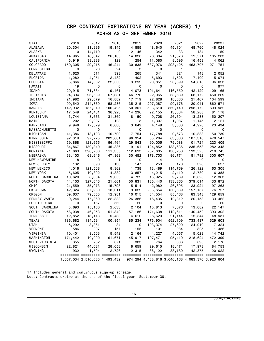## CRP CONTRACT EXPIRATIONS BY YEAR (ACRES) 1/ ACRES AS OF SEPTEMBER 2016

| <b>STATE</b>           | 2016    | 2017                          | 2018         | 2019    | 2020    | 2021    | 2022                                            | 2023+       |
|------------------------|---------|-------------------------------|--------------|---------|---------|---------|-------------------------------------------------|-------------|
| ALABAMA                | 20,304  | 31,996                        | 15,145       | 4,855   | 48,640  | 45,101  | 48,760                                          | 48,024      |
| ALASKA                 | 0       | 14,719                        | 0            | 2,146   | 342     | 33      | 134                                             | 50          |
| ARKANSAS               | 14,965  | 16,347                        | 26,105       | 14,828  | 26,304  | 21,576  | 19,571                                          | 105,203     |
| CALIFORNIA             | 5,919   | 33,838                        | 129          | 254     | 11,080  | 8,596   | 16,453                                          | 4,062       |
| COLORADO               | 150,305 | 29,215                        | 46,244       | 30,838  | 637,976 | 298,425 | 463,707                                         | 271,751     |
| CONNECTICUT            | 0       | 20                            | 24           | 3       | 0       | 1.      | 0                                               | 0           |
| DELAWARE               | 1,620   | 511                           | 393          | 265     | 341     | 321     | 148                                             | 2,052       |
| FLORIDA                | 1,282   | 4,951                         | 2,482        | 402     | 5,693   | 4,528   | 7,109                                           | 5,074       |
| GEORGIA                | 5,866   | 14,582                        | 22,550       | 3,299   | 20,851  | 26,599  | 54,815                                          | 96,023      |
| HAWAII                 | 19      | 0                             | 0            | 0       | 0       | 0       | 0                                               | 977         |
| <b>IDAHO</b>           | 20,915  | 71,834                        | 9,461        | 14,073  | 101,641 | 116,550 | 142,129                                         | 109,165     |
| ILLINOIS               | 94,394  | 96,639                        | 67,381       | 46,770  | 92,065  | 68,689  | 68,172                                          | 450,269     |
| INDIANA                | 21,982  | 29,679                        | 16,882       | 17,719  | 22,828  | 18,880  | 21,467                                          | 104,599     |
| IOWA                   | 99,542  | 214,869                       | 158,286      | 135,215 | 207,287 | 90,176  | 120,041                                         | 862,571     |
| <b>KANSAS</b>          | 142,932 | 137,849                       | 106,425      | 50,301  | 503,610 | 369,140 | 298,172                                         | 609,982     |
| KENTUCKY               | 17,549  | 24,481                        | 36,923       | 14,236  | 22,155  | 13,384  | 58,283                                          | 81,178      |
| LOUISIANA              | 5,744   | 8,663                         | 31,369       | 8,150   | 49,708  | 26,604  | 13,238                                          | 150,207     |
| MAINE                  | 202     | 2,027                         | 123          | 3       | 1,307   | 1,087   | 1,145                                           | 2,121       |
| MARYLAND               | 9,948   | 12,829                        | 6,080        | 3,649   | 4,149   | 3,338   | 4,928                                           | 23,434      |
| <b>MASSACHUSETTS</b>   | 0       | 0                             | 0            | 10      | 0       | 0       | 0                                               | 0           |
| MICHIGAN               | 41,386  | 18,123                        | 10,799       | 7,754   | 17,788  | 9,673   | 10,888                                          | 50,739      |
| MINNESOTA              | 92,319  | 97,775                        | 202,601      | 96,354  | 83,284  | 63,080  | 107,318                                         | 478,547     |
| MISSISSIPPI            | 59,868  | 123,655                       | 56,464       | 29,843  | 90,005  | 79,088  | 101,724                                         | 223,409     |
| MISSOURI               | 84,867  | 130,340                       | 45,886       | 19,191  | 124,852 | 133,636 | 235,658                                         | 282,348     |
| MONTANA                | 71,663  | 390,268                       | 111,355      | 112,693 | 207,605 | 138,250 | 193,525                                         | 210,745     |
| NEBRASKA               | 63,103  | 63,646                        | 47,369       | 30,452  | 178,703 | 96,771  | 81,792                                          | 300,607     |
| NEW HAMPSHIRE          | 8       | 0                             | $\mathbf{1}$ | 0       | 4       | 0       | 0                                               | $\mathbf 0$ |
| NEW JERSEY             | 132     | 398                           | 136          | 147     | 253     | 170     | 328                                             | 627         |
| NEW MEXICO             | 4,016   | 121,508                       | 8,362        | 1,738   | 13,489  | 114,769 | 126,122                                         | 63,305      |
| NEW YORK               | 5,605   | 10,392                        | 4,382        | 3,857   | 4,215   | 2,410   | 2,780                                           | 6,388       |
| NORTH CAROLINA         | 10,620  | 8,334                         | 9,055        | 4,729   | 13,925  | 9,769   | 8,625                                           | 12,363      |
| NORTH DAKOTA           | 44,103  | 327,645                       | 21,661       | 50,831  | 185,440 | 133,865 | 379,014                                         | 433,872     |
| OHIO                   |         |                               |              |         |         |         |                                                 |             |
| OKLAHOMA               | 21,559  | 35,073                        | 15,793       | 15,514  | 42,982  | 26,895  | 23,924                                          | 97,263      |
|                        | 42,324  | 67,950                        | 18,011       | 9,029   | 205,654 | 153,539 | 157,167                                         | 76,757      |
| OREGON<br>PENNSYLVANIA | 69,637  | 79,855                        | 12,981       | 10,015  | 84,554  | 85,468  | 83,343                                          | 129,659     |
|                        | 9,244   | 17,860                        | 22,888       | 26,386  | 16,435  | 12,812  | 20,158                                          | 33,462      |
| PUERTO RICO            | 0       | 167                           | 560          | 20      | 0       | 0       | 0                                               | 60          |
| SOUTH CAROLINA         | 3,693   | 15,160                        | 2,633        | 2,104   | 15,813  | 7,076   | 13,082                                          | 22,147      |
| SOUTH DAKOTA           | 58,038  | 46,253                        | 51,342       | 57,186  | 171,638 | 112,611 | 140,452                                         | 393,302     |
| <b>TENNESSEE</b>       | 12,852  | 13,143                        | 5,438        | 4,610   | 26,623  | 21,144  | 15,844                                          | 48,931      |
| <b>TEXAS</b>           | 136,682 | 134,594                       | 100,854      | 85,234  | 775,904 | 552,109 | 733,437                                         | 529,603     |
| UTAH                   | 5,292   | 3,361                         | 34           | 0       | 103,374 | 27,620  | 24,910                                          | 7,324       |
| VERMONT                | 586     | 207                           | 157          | 155     | 101     | 284     | 325                                             | 1,486       |
| VIRGINIA               | 10,401  | 9,503                         | 5,542        | 2,164   | 4,227   | 4,057   | 5,023                                           | 14,742      |
| WASHINGTON             | 171,442 | 10,090                        | 161,671      | 45,917  | 197,471 | 95,410  | 218,624                                         | 472,399     |
| WEST VIRGINIA          | 355     | 752                           | 671          | 383     | 764     | 836     | 695                                             | 2,176       |
| WISCONSIN              | 22,821  | 44,031                        | 28,058       | 8,659   | 29,615  | 18,471  | 17,973                                          | 84,753      |
| WYOMING                | 932     | 1,504                         | 2,726        | 2,315   | 88,122  | 33,180  | 42,375                                          | 20,022      |
|                        |         | 1,657,034 2,516,635 1,493,432 |              |         |         |         | 974,294 4,438,816 3,046,168 4,083,376 6,923,804 |             |

1/ Includes general and continuous sign-up acreage. Note: Contracts expire at the end of the fiscal year, September 30.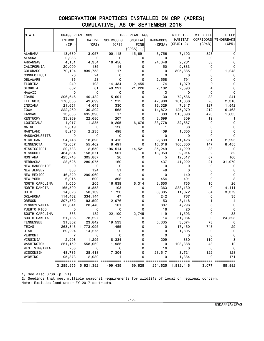# CONSERVATION PRACTICES INSTALLED ON CRP (ACRES) CUMULATIVE, AS OF SEPTEMBER 2016

| <b>STATE</b>         | <b>GRASS PLANTINGS</b> |                                |                  | TREE PLANTINGS |                  | WILDLIFE                   | WILDLIFE       | FIELD                       |
|----------------------|------------------------|--------------------------------|------------------|----------------|------------------|----------------------------|----------------|-----------------------------|
|                      | INTROD.                | NATIVE                         | <b>SOFTWOODS</b> | LONGLEAF       | <b>HARDWOODS</b> | HABITAT                    | CORRIDORS      | WINDBREAKS                  |
|                      | (CP1)                  | (CP2)                          | (CP3)            | PINE           | (CP3A)           | $(CP4D)$ 2/                | (CP4B)         | (CP5)                       |
|                      |                        |                                |                  | $(CP3A)$ 1/    |                  |                            |                |                             |
| <b>ALABAMA</b>       | 13,689                 | 3,057                          | 100,118          | 15,691         | 3,756            | 7,192                      | 323            | 0                           |
| ALASKA               | 2,033                  | 0                              | 0                | 0              | 0                | 0                          | 0              | 0                           |
| ARKANSAS             | 4,181                  | 4,354                          | 16,456           | 0              | 24,348           | 2,261                      | 53             | 0                           |
| CALIFORNIA           | 20,009                 | 185                            | 14               | 0              | 50               | 9,833                      | 0              | 0                           |
| COLORADO             | 70,124                 | 839,758                        | 17               | 0              | 0                | 395,885                    | 0              | 1,248                       |
| CONNECTICUT          | 20                     | 24                             | 0                | 0              | 0                | 0                          | 0              | 0                           |
| DELAWARE             | 15                     | 23                             | 0                | 0              | 2,558            | 791                        | 0              | 0                           |
| FLORIDA              | 249                    | 108                            | 14,434           | 2,455          | 74               | 1,079                      | 0              | 0                           |
| GEORGIA              | 862                    | 81                             | 49,291           | 21,226         | 2,102            | 2,593                      | 4              | 0                           |
| HAWAII               | 0                      | 0                              | 0                | 0              | 13               | 0                          | 0              | 0                           |
| <b>IDAHO</b>         | 206,646                | 40,482                         | 5,691            | 0              | 30               | 72,586                     | 33             | 241                         |
| ILLINOIS             | 176,385                | 49,699                         | 1,212            | 0              | 42,900           | 101,836                    | 28             | 2,310                       |
| INDIANA              | 21,651                 | 14,643                         | 330              | 0              | 16,329           | 7,347                      | 127            | 1,542                       |
| IOWA                 | 222,260                | 130,202                        | 568              | 0              | 14,872           | 125,079                    | 212            | 6,463                       |
| KANSAS               | 13,653                 | 695,390                        | 17               | 0              | 389              | 315,698                    | 473            | 1,635                       |
| KENTUCKY             | 33,969                 | 22,680                         | 207              | 0              | 3,699            | 309                        | 19             | 1                           |
| LOUISIANA            | 1,017                  | 1,235                          | 19,295           | 6,676          | 33,778           | 32,667                     | 0              | 0                           |
| MAINE                | 2,619                  | 0                              | 128              | 0              | 1                | 38                         | 0              | 0                           |
| MARYLAND             | 8,246                  | 2,235                          | 498              | 0              | 409              | 1,605                      | 3              | 0                           |
| <b>MASSACHUSETTS</b> | 0                      | 0                              | 0                | 0              | 0                | 0                          | $\Omega$       | 0                           |
| MICHIGAN             | 24,746                 | 18,893                         | 3,413            | 0              | 2,639            | 11,426                     | 261            | 2,295                       |
| MINNESOTA            | 72,087                 | 55,462                         | 8,491            | 0              | 16,618           | 160,800                    | 147            | 8,455                       |
| MISSISSIPPI          | 20,783                 | 2,650                          | 196,514          | 14,521         | 35,249           | 4,229                      | 88             | 0                           |
| MISSOURI             | 464,334                | 158,571                        | 501              | 0              | 13,053           | 2,914                      | $\overline{c}$ | 82                          |
| <b>MONTANA</b>       | 425,743                | 305,887                        | 26               | 0              | 5                | 12,517                     | 87             | 160                         |
| NEBRASKA             | 28,626                 | 280,075                        | 160              | 0              | 437              | 41,222                     | 21             | 31,979                      |
| <b>NEW HAMPSHIRE</b> | 0                      | 0                              | 0                | 0              | 0                | 0                          | 0              | 0                           |
| NEW JERSEY           | 303                    | 124                            | 51               | 0              | 48               | 0                          | 0              | 8                           |
| NEW MEXICO           | 46,820                 | 290,069                        | 0                | 0              | 0                | 140                        | 0              | 0                           |
| NEW YORK             | 6,015                  | 699                            | 398              | 0              | 454              | 491                        | 0              | 3                           |
| NORTH CAROLINA       | 1,050                  | 205                            | 16,839           | 6,314          | 3,650            | 755                        | 10             | 26                          |
| NORTH DAKOTA         | 165,500                | 18,853                         | 103              | 0              | 363              | 288,130                    | 0              | 4,111                       |
| OHIO                 | 14,028                 | 50,139                         | 1,720            | 0              | 6,385            | 11,072                     | 84             | 3,379                       |
| <b>OKLAHOMA</b>      | 114,462                | 334,144                        | 47               | 0              | 242              | 767                        | 0              | 35                          |
| <b>OREGON</b>        | 207,582                | 93,599                         | 2,076            | 0              | 53               | 8,118                      | 1              | 4                           |
| PENNSYLVANIA         | 80,041                 | 28,440                         | 101              | 0              | 887              | 4,296                      | 6              | 0                           |
| PUERTO RICO          | 0                      | 0                              | 0                | 0              | 16               | 20                         | 0              | 0                           |
| SOUTH CAROLINA       | 883                    | 182                            | 22,100           | 2,745          | 119              | 1,503                      | 0              | 33                          |
| SOUTH DAKOTA         | 51,785                 | 78,227                         | 7                | 0              | 14               | 51,084                     | 0              | 24,528                      |
| TENNESSEE            | 31,302                 | 23,842                         | 19,533           | 0              | 5,335            | 3,074                      | 73             |                             |
| TEXAS                | 263,843                | 1,773,095                      | 1,455            | 0              | 10               | 17,460                     | 743            | 29                          |
| <b>UTAH</b>          | 69,294                 | 14,275                         | 0                | 0              | 0                | 1,805                      | 0              | $\mathbf 0$                 |
| <b>VERMONT</b>       | 7                      | 0                              | 0                | 0              | 0                | 0                          | 0              | $\mathbf 0$                 |
| VIRGINIA             | 2,998                  | 1,295                          | 8,334            | 0              | 209              | 330                        | 110            | 3                           |
| WASHINGTON           | 251,152                | 558,062                        | 1,985            | 0              | 0                | 108,388                    | 48             | 12                          |
| WEST VIRGINIA        | 208                    | 0                              | 6                | 0              | 16               | 0                          | 0              | 0                           |
| WISCONSIN            | 48,735                 | 28,418                         | 7,304            | 0              | 23,517           | 3,721                      | 122            | 128                         |
| WYOMING              | 95,873                 | 2,030                          | 1                | 0              | 0                | 1,384                      | 0              | 171                         |
|                      | ==========             | =======<br>3,285,955 5,921,392 | =====<br>499,439 | 69,628         |                  | =====<br>254,625 1,812,446 | 3,077          | ====== ==========<br>88,882 |

1/ See also CP36 (p. 21).

2/ Seedings that meet multiple seasonal requirements for wildlife of local or regional concern. Note: Excludes land under FY 2017 contracts.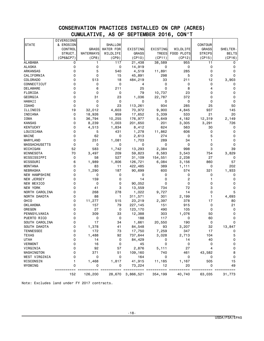# CONSERVATION PRACTICES INSTALLED ON CRP (ACRES) CUMULATIVE, AS OF SEPTEMBER 2016, CON'T

|                               | DIVERSIONS     |              |                  |                   |            |              |               |          |
|-------------------------------|----------------|--------------|------------------|-------------------|------------|--------------|---------------|----------|
| <b>STATE</b>                  | & EROSION      |              | <b>SHALLOW</b>   |                   |            |              | CONTOUR       |          |
|                               | CONTROL        | <b>GRASS</b> | <b>WATER FOR</b> | EXISTING          | EXISTING   | WILDLIFE     | <b>GRASS</b>  | SHELTER- |
|                               | STRUCT.        | WATERWAYS    | WILDLIFE         | <b>GRASS</b>      | TREES      | FOOD PLOTS   | <b>STRIPS</b> | BELTS    |
|                               | (CP6&CP7)      | (CP8)        | (CP9)            | (CP10)            | (CP11)     | (CP12)       | (CP15)        | (CP16)   |
| <b>ALABAMA</b>                | 0              | 1            | 117              | 21,438            | 38,589     | 955          | 11            | 0        |
| <b>ALASKA</b>                 | 0              | 0            | 0                | 14,919            | 0          | 0            | 0             | 0        |
| ARKANSAS                      | 0              | 5            | 540              | 4,519             | 11,891     | 285          | 0             | 0        |
| CALIFORNIA                    | 0              | 0            | 15               | 45,891            | 298        | 5            | 0             | $\Omega$ |
| COLORADO                      | 0              | 513          | 18               | 484,219           | 33         | 211          | 12            | 3,903    |
| CONNECTICUT                   | 0              | 0            | 0                | 4                 | 0          | 0            | 0             | 0        |
| DELAWARE                      | 0              | 6            | 211              | 25                | 0          | 8            | 4             | 0        |
| FLORIDA                       | 0              | 0            | 0                | 79                | 10,737     | 23           | 0             | 0        |
| GEORGIA                       | 0              | 31           | 23               | 1,036             | 22,787     | 372          | 0             | 0        |
| HAWAII                        | 0              | 0            | 0                | 0                 | 0          | 0            | 0             | 0        |
| <b>IDAHO</b>                  | 0              | $\Omega$     | 23               | 113,261           | 934        | 285          | 25            | 50       |
| ILLINOIS                      | 19             | 32,012       | 4,603            | 70,972            | 9,900      | 4,845        | 937           | 145      |
| INDIANA                       | 0              | 18,926       | 959              | 17,652            | 5,339      | 533          | 21            | 20       |
| IOWA                          | 5              | 36,794       | 10,255           | 176,977           | 5,649      | 4,182        | 12,319        | 2,149    |
| KANSAS                        | 0              | 8,239        | 1,003            | 201,650           | 201        | 3,305        | 3,291         | 726      |
| <b>KENTUCKY</b>               | 0              | 4,513        | 1,834            | 8,412             | 624        | 563          | 30            | 0        |
| LOUISIANA                     | 0              | 5            | 431              | 1,278             | 11,862     | 606          | 0             | 0        |
| MAINE                         | 0              | 62           | 0                | 2,613             | 274        | 0            | 5             | 0        |
| MARYLAND                      | 0              | 251          | 1,081            | 1,703             | 289        | 34           | 1             | 0        |
| <b>MASSACHUSETTS</b>          | 0              | 0            | 0                | 0                 | 0          | 0            | 0             | 0        |
| MICHIGAN                      | 52             | 583          | 1,742            | 13,293            | 2,384      | 998          | 3             | 39       |
| MINNESOTA                     | 70             | 3,497        | 209              | 59,823            | 8,583      | 3,543        | 754           | 3,829    |
| MISSISSIPPI                   | 0              | 58           | 527              | 31,109            | 154,551    | 2,238        | 27            | 0        |
| MISSOURI                      | 6              | 1,989        | 1,806            | 126,721           | 6,084      | 3,156        | 860           | 57       |
| <b>MONTANA</b>                | 0              | 83           | 11               | 422,485           | 389        | 1,111        | 0             | 202      |
| NEBRASKA                      | 0              | 1,290        | 187              | 90,699            | 600        | 574          | 321           | 1,933    |
| <b>NEW HAMPSHIRE</b>          | 0              | 0            | 0                | 0                 | 0          | 0            | 0             | 0        |
| NEW JERSEY                    | 0              | 159          | 0                | 14                | 0          | 2            | 1             | 0        |
| NEW MEXICO                    | 0              | 0            | 0                | 90,052            | 0          | 0            | 0             | 0        |
| NEW YORK                      | 0              | 41           | 3                | 13,559            | 734        | 72           | 3             | 0        |
| NORTH CAROLINA                | 0              | 268          | 278              | 1,022             | 9,727      | 14           | 0             | 5        |
| NORTH DAKOTA                  | 0              | 88           | 1                | 311,571           | 301        | 2,199        | 1             | 4,693    |
| OHIO                          | 0              | 11,277       | 515              | 23,219            | 2,397      | 378          | 17            | 80       |
| <b>OKLAHOMA</b>               | 0              | 157          | 79               | 227,145           | 151        | 915          | 0<br>0        | 21       |
| OREGON                        | 0<br>0         | 27           | 0                | 123,170           | 490        | 105          |               | 0        |
| PENNSYLVANIA                  | 0              | 309<br>0     | 33<br>0          | 12,388<br>188     | 303<br>117 | 1,076<br>0   | 50<br>60      | 0<br>0   |
| PUERTO RICO<br>SOUTH CAROLINA | 0              | 17           | 34               |                   | 20,550     | 190          | 0             | 0        |
| SOUTH DAKOTA                  | 0              |              | 41               | 1,661             | 93         |              | 32            |          |
| TENNESSEE                     |                | 1,378        | 73               | 84,548            | 7,259      | 3,207        | 17            | 13,847   |
| <b>TEXAS</b>                  | 0<br>0         | 172<br>1,488 | 92               | 17,750<br>737,644 | 3,028      | 347<br>2,713 | 104           | U<br>5   |
| <b>UTAH</b>                   | 0              | 14           | 0                | 84,429            | 0          | 14           | 40            | 0        |
| <b>VERMONT</b>                | 0              | 16           | 0                | 45                | 0          | $\mathbf 0$  | 0             | 0        |
| VIRGINIA                      | 0              | 92           | 57               | 2,876             | 5,111      | 27           | 4             | 0        |
| WASHINGTON                    | 0              | 371          | 51               | 109,160           | 740        | 461          | 43,582        | 8        |
| WEST VIRGINIA                 | 0              | 0            | 0                | 164               | 0          | 0            | 0             | 0        |
| WISCONSIN                     | 1              | 1,468        | 1,817            | 41,915            | 11,185     | 1,167        | 505           | 15       |
| WYOMING                       | 0              | 0            | 0                | 73,224            | 12         | 20           | 0             | 49       |
|                               | =======<br>=== | =====        |                  | ====== ========== | =======    | =======      | ==========    | =====    |
|                               | 152            | 126,200      | 28,670           | 3,866,521         | 354,199    | 40,740       | 63,035        | 31,773   |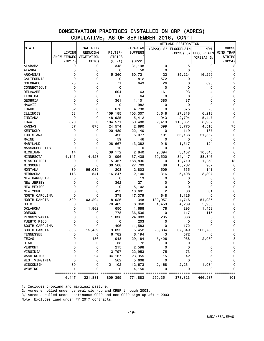#### CONSERVATION PRACTICES INSTALLED ON CRP (ACRES) CUMULATIVE, AS OF SEPTEMBER 2016, CON'T

| <b>STATE</b>                  |                     | SALINITY       |                 | RIPARIAN           |                       | WETLAND RESTORATION |                       | <b>CROSS</b>          |
|-------------------------------|---------------------|----------------|-----------------|--------------------|-----------------------|---------------------|-----------------------|-----------------------|
|                               | LIVING              | REDUCING       | FILTER-         | <b>BUFFERS</b>     | $(CP23)$ 2/           | FLOODPLAIN          | NON-                  | WIND TRAP             |
|                               | <b>SNOW FENCES</b>  | VEGETATION     | <b>STRIPS</b>   |                    |                       | (CP23) 3/           | FLOODPLAIN            | <b>STRIPS</b>         |
|                               |                     |                |                 | 1/<br>(CP22)       |                       |                     | $(CP23A)$ 3/          |                       |
|                               | (CP17)              | (CP18)         | (CP21)          |                    |                       |                     |                       | (CP24)                |
| <b>ALABAMA</b>                | 0                   | 0              | 348             | 31, 198            | 0                     | 5                   | 0                     | 3                     |
| <b>ALASKA</b>                 | 0                   | 0              | 0               | 50                 | 0                     | 0                   | 0                     | 0                     |
| ARKANSAS                      | 0                   | 0              | 5,360           | 60,721             | 22                    | 35,224              | 16,299                | 0                     |
| CALIFORNIA                    | 0                   | 0              | 0               | 812                | 572                   | 0                   | 0                     | 0                     |
| COLORADO                      | 23                  | $\overline{7}$ | 71              | 643                | 26                    | 0                   | 698                   | 2                     |
| CONNECTICUT                   | 0                   | 0              | 0               | 1                  | 0                     | 0                   | 0                     | 0                     |
| DELAWARE                      | 0                   | 0              | 604             | 63                 | 161                   | 93                  | 4                     | 0                     |
| FLORIDA                       | 0                   | 0              | 0               | 64                 | 0                     | 0                   | 0                     | 0                     |
| GEORGIA                       | $\Omega$            | 0              | 361             | 1,101              | 380                   | 37                  | 0                     | 0                     |
| HAWAII                        | 0                   | 0              | 0               | 982                | 0                     | 0                   | 0                     | 0                     |
| <b>IDAHO</b>                  | 62                  | 0              | 676             | 4,738              | 0                     | 375                 | 25                    | 0                     |
| ILLINOIS                      | 53                  | 4              | 109,185         | 103,307            | 5,648                 | 27,318              | 6,218                 | 0                     |
| INDIANA                       | 0                   | 0              | 48,925          | 5,412              | 943                   | 2,704               | 5,447                 | 0                     |
| IOWA                          | 670                 | 0              | 194,571         | 50,488             | 2,413                 | 115,851             | 8,967                 | 0                     |
| <b>KANSAS</b>                 | 67                  | 875            | 24,574          | 2,890              | 399                   | 3,775               | 4,510                 | 75                    |
| <b>KENTUCKY</b>               | 0                   | 0              | 20,489          | 22,140             | 0                     | 119                 | 137                   | 0                     |
| LOUISIANA                     | 0                   | 0              | 423             | 5,077              | 101                   | 66,136              | 51,667                | 0                     |
| MAINE                         | 0                   | 0              | 59              | 46                 | 0                     | 0                   | 0                     | 0                     |
| MARYLAND                      | 0                   | 0              | 28,667          | 13,382             | 918                   | 1,517               | 124                   | 0                     |
| <b>MASSACHUSETTS</b>          | 0                   | 0              | 10              | 0                  | 0                     | 0                   | 0                     | 0                     |
| MICHIGAN                      | 14                  | 0              | 39,172          | 2,840              | 9,394                 | 3,157               | 10,345                | 0                     |
| MINNESOTA                     | 4,145               | 4,428          | 121,096         | 37,438             | 59,520                | 34,447              | 188,346               | 0                     |
| MISSISSIPPI                   | 0                   | 0              | 5,457           | 168,836            | 0                     | 12,710              | 1,253                 | 13                    |
| MISSOURI                      | 0                   | 0              | 30,508          | 27,709             | 88                    | 15,767              | 967                   | 0                     |
| <b>MONTANA</b>                | 39                  | 95,039         | 203             | 2,803              | 509                   | 655                 | 141                   | 0                     |
| NEBRASKA                      | 118                 | 541            | 16,247          | 2,100              | 316                   | 5,408               | 3,397                 | 0                     |
| <b>NEW HAMPSHIRE</b>          | 0                   | 0              | 0               | 13                 | 0                     | 0                   | 0                     | 0                     |
| NEW JERSEY                    | 0                   | 0              | 362             | 271                | 0                     | 0                   | 0                     | 0                     |
| NEW MEXICO                    | 0                   | 0              | 0               | 5,102              | 0                     | 0                   | 0                     | 0                     |
| NEW YORK                      | 0                   | 0              | 423             | 10,601             | 2                     | 60                  | 31                    | 0                     |
| NORTH CAROLINA                | 0                   | 0              | 1,378           | 17,379             | 648                   | 1,126               | 0                     | 0                     |
| NORTH DAKOTA                  | 590                 | 103,204        | 8,026           | 348                | 132,957               | 4,716               | 51,935                | 0                     |
| OHIO                          | 0                   | 0              | 70,489          | 6,968              | 1,459                 | 4,289               | 5,955                 | 0                     |
| <b>OKLAHOMA</b>               | 0                   | 1,862          | 650             | 1,688              | 78                    | 293                 | 1,453                 | 0                     |
| OREGON                        | 0                   | 0              | 1,778           | 36,536             | 0                     | 117                 | 115                   | 0                     |
| PENNSYLVANIA                  | 0                   | 0              | 1,036           | 24,083             | 235                   | 686                 | 0                     | 0                     |
|                               | 0                   | 0              | 0               |                    |                       | 0                   | 0                     | 0                     |
| PUERTO RICO<br>SOUTH CAROLINA | 0                   | 0              | 1,406           | 203                | 0<br>$\Omega$         | 172                 | $\Omega$              | 0                     |
|                               |                     |                |                 | 11,583             |                       |                     |                       | 0                     |
| SOUTH DAKOTA                  | 635                 | 15,459         | 9,095           | 5,452              | 25,834                | 37,649              | 105,783               |                       |
| TENNESSEE                     | 0                   | 0              | 6,782           | 6,194              | 43                    | 572                 | 0                     | 0                     |
| <b>TEXAS</b>                  | 0                   | 436            | 1,048           | 29,184             | 5,426                 | 968                 | 2,030                 | 8                     |
| <b>UTAH</b>                   | 0                   | 0              | 38              | 72                 | 0                     | 0                   | 0                     | 0                     |
| <b>VERMONT</b>                | 0                   | 0              | 215             | 2,598              | 0                     | 0                   | 0                     | 0                     |
| VIRGINIA                      | 0                   | 0              | 3,797           | 22,953             | 75                    | 73                  | 0                     | 0                     |
| WASHINGTON                    | 0                   | 24             | 34,167          | 23,355             | 15                    | 42                  | 5                     | 0                     |
| WEST VIRGINIA                 | 0                   | 0              | 562             | 5,608              | 0                     | 0                   | 0                     | 0                     |
| WISCONSIN                     | 30                  | 0              | 21,102          | 12,673             | 2,168                 | 2,261               | 1,084                 | 0                     |
| WYOMING                       | 1                   | 0              | 0               | 4,150              | 0                     | 0                   | 0                     | 0                     |
|                               | ==========<br>6,447 | 221,881        | $==$<br>809,359 | =======<br>771,883 | === ======<br>250,351 | 378,323             | === ======<br>466,937 | === ==========<br>101 |

1/ Includes cropland and marginal pasture.

2/ Acres enrolled under general sign-up and CREP through 2003.

3/ Acres enrolled under continuous CREP and non-CREP sign-up after 2003.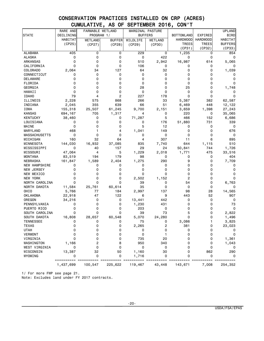# CONSERVATION PRACTICES INSTALLED ON CRP (ACRES) CUMULATIVE, AS OF SEPTEMBER 2016, CON'T

|                      | RARE AND    | FARMABLE WETLAND |               | MARGINAL PASTURE |         |                   |                 | <b>UPLAND</b>  |
|----------------------|-------------|------------------|---------------|------------------|---------|-------------------|-----------------|----------------|
| <b>STATE</b>         | DECLINING   | PROGRAM 1/       |               | <b>BUFFERS</b>   |         | <b>BOTTOMLAND</b> | EXPIRED         | <b>BIRD</b>    |
|                      | HABITAT     | <b>WETLAND</b>   | <b>BUFFER</b> | WILDLIFE         | WETLAND | <b>HARDWOOD</b>   | <b>HARDWOOD</b> | HABITAT        |
|                      | (CP25)      | (CP27)           | (CP28)        | (CP29)           | (CP30)  | <b>TREES</b>      | <b>TREES</b>    | <b>BUFFERS</b> |
|                      |             |                  |               |                  |         | (CP31)            | (CP32)          | (CP33)         |
| <b>ALABAMA</b>       | 405         | 0                | 0             | 229              | 0       | 1,235             | 0               | 854            |
| ALASKA               | 0           | 0                | 0             | 0                | 422     | 0                 | 0               | 0              |
| <b>ARKANSAS</b>      | 0           | 0                | 0             | 510              | 2,942   | 16,987            | 614             | 5,065          |
| CALIFORNIA           | 0           | 0                | 0             | 106              | 0       | 0                 | 0               | 0              |
| COLORADO             | 2,064       | 34               | 127           | 64               | 32      | 0                 | 0               | 1,039          |
| CONNECTICUT          | 0           | 0                | 0             | 0                | 0       | 0                 | 0               | 0              |
| DELAWARE             | 0           | 0                | 0             | 0                | 0       | 0                 | 0               | 0              |
| FLORIDA              | 0           | 0                | 0             | 0                | 0       | 0                 | 0               | 0              |
| GEORGIA              | $\mathbf 0$ | 0                | 0             | 28               | 0       | 25                | 0               | 1,748          |
| HAWAII               | 0           | 0                | 0             | 0                | 0       | 0                 | 0               | 0              |
| <b>IDAHO</b>         | 79          | 4                | 2             | 227              | 178     | 0                 | 0               | 0              |
| ILLINOIS             | 2,228       | 575              | 868           | 266              | 33      | 5,387             | 382             | 62,587         |
| INDIANA              | 2,045       | 355              | 639           | 66               | 51      | 6,469             | 448             | 12,122         |
| IOWA                 | 155,318     | 25,507           | 61,245        | 9,700            | 2,151   | 3,659             | 1,398           | 27,243         |
| <b>KANSAS</b>        | 694,167     | 705              | 1,317         | 4                | 0       | 220               | 0               | 35,065         |
| <b>KENTUCKY</b>      | 38,460      | 0                | 0             | 71,287           | 5       | 466               | 152             | 6,686          |
| LOUISIANA            | 0           | 0                | 0             | 0                | 176     | 51,880            | 731             | 339            |
| MAINE                | 0           | 0                | 0             | 5                | 12      | 0                 | 0               | 0              |
| MARYLAND             | 468         | 1                | 4             | 1,041            | 149     | 0                 | 0               | 676            |
| <b>MASSACHUSETTS</b> | 0           | 0                | 0             | 0                | 0       | 0                 | 0               | 0              |
| MICHIGAN             | 160         | 32               | 64            | 4                | 307     | 11                | 6               | 895            |
| MINNESOTA            | 144,030     | 16,932           | 37,085        | 835              | 7,740   | 644               | 1,115           | 510            |
| MISSISSIPPI          | 0           | 40               | 157           | 29               | 24      | 50,841            | 744             | 1,726          |
| MISSOURI             | 47,064      | 4                | 5             | 1,229            | 2,018   | 1,771             | 475             | 33,516         |
| <b>MONTANA</b>       | 83,519      | 194              | 179           | 98               | 0       | 0                 | 0               | 404            |
| NEBRASKA             | 161,847     | 1,589            | 2,404         | 1,275            | 290     | 9                 | 0               | 7,709          |
| NEW HAMPSHIRE        | 0           | 0                | 0             | 0                | 0       | 0                 | 0               | 0              |
| NEW JERSEY           | 0           | 0                | 0             | 0                | 0       | 0                 | 0               | 0              |
| NEW MEXICO           | 0           | 0                | $\mathbf 0$   | 0                | 0       | 0                 | $\Omega$        | 0              |
| NEW YORK             | 0           | 0                | 0             | 2,502            | 1,152   | 2                 | 0               | 0              |
| NORTH CAROLINA       | 0           | $\mathbf 0$      | $\mathbf 0$   | 39               | 0       | 54                | 0               | 6,763          |
| NORTH DAKOTA         | 11,584      | 25,761           | 60,614        | 35               | 0       | 0                 | 0               | 0              |
| OHI <sub>0</sub>     | 5,766       | 77               | 184           | 2,997            | 137     | 98                | 28              | 14,565         |
| <b>OKLAHOMA</b>      | 22,918      | 47               | 122           | 6                | 9       | 443               | 52              | 907            |
| OREGON               | 34,216      | 0                | 0             | 13,441           | 442     | 0                 | 0               | 0              |
| PENNSYLVANIA         | 0           | 0                | 0             | 1,230            | 431     | 0                 | 0               | 73             |
| PUERTO RICO          | 0           | 0                | 0             | 203              | 0       | 0                 | 0               | $\mathbf 0$    |
| SOUTH CAROLINA       | 0           | 0                | 0             | 39               | 73      | 5                 | 0               | 2,822          |
| SOUTH DAKOTA         | 16,808      | 28,657           | 60,548        | 5,070            | 24,280  | 0                 | 0               | 1,496          |
| <b>TENNESSEE</b>     |             | ∩                | 0             | 75               | 0       | 3,086             |                 | 3,825          |
| <b>TEXAS</b>         | 0           | 0                | 0             | 2,265            | 2       | 381               | 0               | 23,023         |
| <b>UTAH</b>          | 0           | 0                | 0             | 0                | 0       | 0                 | 0               | 0              |
| <b>VERMONT</b>       | 0           | 0                | 0             | 0                |         | 0                 | 0               | 0              |
| VIRGINIA             | 0           | 0                | 0             | 735              | 20      | 0                 | 0               | 1,361          |
| WASHINGTON           | 1,166       | 2                | 8             | 950              | 340     | 0                 | 0               | 1,043          |
| WEST VIRGINIA        | 0           | 0                | 0             | 0                | 0       | 0                 | 0               | 0              |
| WISCONSIN            | 13,387      | 32               | 50            | 1,160            | 30      | 0                 | 862             | 290            |
| WYOMING              | 0           | 0                | 0             | 1,716            | 0       | 0                 | $\Omega$        | 0              |
|                      |             |                  |               |                  |         |                   |                 |                |
|                      | 1,437,699   | 100,547          | 225,622       | 119,467          | 43,448  | 143,671           | 7,008           | 254,352        |

1/ For more FWP see page 21.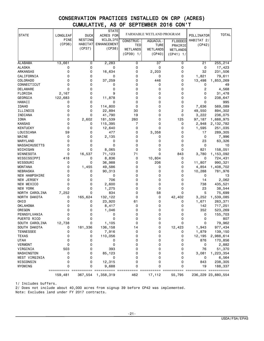# CONSERVATION PRACTICES INSTALLED ON CRP (ACRES) CUMULATIVE, AS OF SEPTEMBER 2016 CON'T

| <b>STATE</b>               | LONGLEAF    | <b>DUCK</b> | <b>STATE</b><br>ACRES FOR |                  | FARMABLE WETLAND PROGRAM |                | POLLINATOR  | <b>TOTAL</b>          |
|----------------------------|-------------|-------------|---------------------------|------------------|--------------------------|----------------|-------------|-----------------------|
|                            | <b>PINE</b> | NESTING     | WILDLIFE                  | <b>CONSTRUC-</b> | AQUACUL -                | <b>FLOODED</b> | HABITAT 2/  |                       |
|                            | (CP36)      | HABITAT     | <b>ENHANCEMENT</b>        | TED              | TURE                     | PRAIRIE        | (CP42)      |                       |
|                            |             | (CP37)      | (CP38)                    | WETLANDS         | WETLANDS                 | WETLANDS       |             |                       |
|                            |             |             |                           | $(CP39)$ 1/      | (CP40)                   | $(CP41)$ 1/    |             |                       |
|                            |             |             |                           |                  |                          |                |             |                       |
| <b>ALABAMA</b>             | 13,661      | 0           | 2,283                     | 0                | 37                       | 0              | 21          | 255,214               |
| <b>ALASKA</b>              | 0           | 0           | 0                         | 0                | 0                        | 0              | 0           | 17,423                |
| ARKANSAS                   | 0           | 0           | 16,634                    | 0                | 2,203                    | 0              | 32          | 231,506               |
| CALIFORNIA                 | 0           | 0           | 0                         | 0                | 0                        | 0              | 1,821       | 79,611                |
| COLORADO                   | 0           | 0           | 37,259                    | 0                | 446                      | 0              | 13,498      | 1,853,269             |
| CONNECTICUT                | 0           | 0           | 0                         | 0                | 0                        | 0              | 0           | 49                    |
| DELAWARE                   | 0           | 0           | 0                         | 0                | 0                        | 0              | 2           | 4,568                 |
| FLORIDA                    | 2,167       | 0           | 9                         | 0                | 0                        | 0              | 0           | 31,478                |
| GEORGIA                    | 122,683     | 0           | 11,878                    | 0                | 0                        | 0              | 0           | 238,647               |
| HAWAII                     | 0           | 0           | 0                         | 0                | 0                        | 0              | $\Omega$    | 995                   |
| <b>IDAHO</b>               | 0           | 0           | 114,800                   | 0                | 0                        | 0              | 7,636       | 569,089               |
| ILLINOIS                   | 0           | 0           | 22,894                    | 30               | 0                        | 2              | 49,550      | 894,302               |
| INDIANA                    | 0           | 0           | 41,790                    | 19               | 0                        | 0              | 3,222       | 236,075               |
| <b>IOWA</b>                | 0           | 2,602       | 181,539                   | 260              | 0                        | 125            | 97,187      | 1,688,975             |
| <b>KANSAS</b>              | 0           | 0           | 115,395                   | 7                | 0                        | 0              | 2,948       | 2,132,782             |
| <b>KENTUCKY</b>            | 0           | 0           | 12,640                    | $\Omega$         | 0                        | 0              | 1,595       | 251,035               |
| LOUISIANA                  | 59          | 0           | 477                       | 0                | 3,358                    | 0              | 17          | 289,305               |
| MAINE                      | 0           | 0           | 2,135                     | 0                | 0                        | 0              | 0           | 7,996                 |
| MARYLAND                   | 0           | 0           | 0                         | 0                | 0                        | 0              | 23          | 63,326                |
| <b>MASSACHUSETTS</b>       | 0           | 0           | 0                         | 0                | 0                        | 0              | 0           | 10                    |
| MICHIGAN                   | 0           | 0           | 8,065                     | 0                | 0                        | 0              | 821         | 158,051               |
| MINNESOTA                  | 0           | 16,537      | 71,123                    | 71               | 0                        | 843            | 3,780       | 1,153,092             |
| MISSISSIPPI                | 418         | 0           | 8,836                     | 0                | 10,804                   | 0              | 0           | 724,431               |
| MISSOURI<br><b>MONTANA</b> | 0<br>0      | 0           | 36,988                    | 0<br>0           | 206<br>0                 | 0<br>0         | 11,807      | 990,321               |
| NEBRASKA                   | 0           | 1,455<br>0  | 49,586                    | 0                | 0                        | 0              | 4,854       | 1,408,702             |
| <b>NEW HAMPSHIRE</b>       | 0           | 0           | 90,313<br>0               | 0                | 0                        | 0              | 10,288<br>0 | 781,976<br>13         |
| NEW JERSEY                 | 0           | 0           | 706                       | 0                | 0                        | 0              | 14          | 2,062                 |
| NEW MEXICO                 | 0           | 0           | 2,600                     | 0                | 0                        | 0              | 738         | 435,521               |
| NEW YORK                   | 0           | 0           | 1,275                     | 0                | 0                        | 0              | 23          | 38,544                |
| NORTH CAROLINA             | 7,252       | 0           | 834                       | 0                | 58                       | 0              | 5           | 75,699                |
| NORTH DAKOTA               | 0           | 165,624     | 132,122                   | 0                | 0                        | 42,402         | 3,252       | 1,539,085             |
| OHIO                       | 0           | 0           | 23,920                    | 61               | 0                        | 0              | 1,671       | 263,371               |
| <b>OKLAHOMA</b>            | 0           | 0           | 8,417                     | 0                | 0                        | 0              | 142         | 717,251               |
| OREGON                     | 0           | 0           | 1,046                     | 0                | 0                        | 0              | 352         | 523,269               |
| PENNSYLVANIA               | 0           | 0           | 0                         | 0                | 0                        | 0              | 0           | 155,703               |
| PUERTO RICO                | 0           | 0           | 0                         | 0                | 0                        | 0              | 0           | 807                   |
| SOUTH CAROLINA             | 12,738      | 0           | 1,105                     | 0                | 0                        | 0              | 0           | 79,962                |
| SOUTH DAKOTA               | 0           | 181,336     | 136,158                   | 14               | 0                        | 12,423         | 1,943       | 977,434               |
| <b>TENNESSEE</b>           | 0           | 0           | 7,916                     | 0                | 0                        | 0              | 1,879       | 139,150               |
| <b>TEXAS</b>               | 0           | 0           | 110,056                   | 0                | 0                        | 0              | 12,195      | 2,988,614             |
| <b>UTAH</b>                | 0           | 0           | 0                         | 0                | 0                        | 0              | 876         | 170,856               |
| <b>VERMONT</b>             | 0           | 0           | 0                         | 0                | 0                        | 0              | 0           | 2,882                 |
| VIRGINIA                   | 503         | 0           | 393                       | 0                | 0                        | 0              | 76          | 51,370                |
| WASHINGTON                 | 0           | 0           | 85,123                    | 0                | 0                        | 0              | 3,081       | 1,223,354             |
| WEST VIRGINIA              | 0           | 0           | 0                         | 0                | 0                        | 0              | 0           | 6,564                 |
| WISCONSIN                  | 0           | 0           | 12,315                    | 0                | 0                        | 0              | 843         | 238,305               |
| WYOMING                    | 0           | 0           | 9,688                     | 0                | 0                        | 0              | 19          | 188,337               |
|                            | 159,481     | 367,554     | 1,358,319                 | 462              | 17,112                   | 55,795         |             | 236, 229 23, 880, 554 |

1/ Includes buffers.

2/ Does not include about 40,000 acres from signup 39 before CP42 was implemented.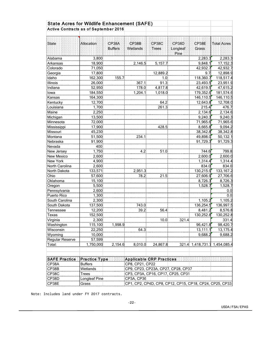| <b>State Acres for Wildlife Enhancement (SAFE)</b> |                  |                |                 |                                                         |          |                               |                     |
|----------------------------------------------------|------------------|----------------|-----------------|---------------------------------------------------------|----------|-------------------------------|---------------------|
| <b>Active Contracts as of September 2016</b>       |                  |                |                 |                                                         |          |                               |                     |
|                                                    |                  |                |                 |                                                         |          |                               |                     |
|                                                    |                  |                |                 |                                                         |          |                               |                     |
| State                                              | Allocation:      | CP38A          | CP38B           | CP38C                                                   | CP38D    | CP38E                         | Total Acres         |
|                                                    |                  | <b>Buffers</b> | Wetlands        | Trees                                                   | Longleaf | Grass                         |                     |
|                                                    |                  |                |                 |                                                         | Pine:    |                               |                     |
| Alabama                                            | 3,800            |                |                 |                                                         |          | 2,283.3                       | 2,283.3             |
| Arkansas                                           | 18,900           |                | 2,146.5         | 5,157.7                                                 |          | 9,848.1                       | 17,152.3            |
| Colorado                                           | 71,050           |                |                 |                                                         |          | 42,932.7                      | 42,932.7            |
| Georgia                                            | 17,800           |                |                 | 12,889.2                                                |          | 9.7                           | 12,898.9            |
| Idaho                                              | 162,300          | 155.7          |                 | 1.0                                                     |          | 118,360.7                     | 118,517.4           |
| Illinois                                           | 26,000           |                | 367.1           | 91.3                                                    |          | 23,493.5                      | 23,951.9            |
| Indiana                                            | 52,950           |                | 178.0           | 4,817.8                                                 |          | 42,619.5                      | 47,615.2            |
| lowa                                               | 184,550          |                | 1,204.1         | 1,018.0                                                 |          | 179,352.6                     | 181,574.6           |
| Kansas                                             | 164,300          |                |                 |                                                         |          | 146,110.5                     | 146,110.5           |
| Kentucky                                           | 12,700           |                |                 | 64.2                                                    |          | 12,643.8                      | 12,708.0            |
| Louisiana                                          | 1,700<br>2,250   |                |                 | 261.3                                                   |          | 215.4                         | 476.7               |
| Maine                                              |                  |                |                 |                                                         |          | 2,134.6                       | 2,134.6             |
| Michigan                                           | 13,500           |                |                 |                                                         |          | 9,240.3                       | 9,240.3             |
| Minnesota                                          | 72,000           |                |                 | 428.5                                                   |          | 71,965.6                      | 71,965.6            |
| Mississippi                                        | 17,900           |                |                 |                                                         |          | 8,665.8                       | 9,094.2             |
| Missouri                                           | 45,230           |                |                 |                                                         |          | 38,342.8                      | 38,342.8            |
| Montana                                            | 51,500           |                | 234.1           |                                                         |          | 49,898.0                      | 50,132.1            |
| Nebraska                                           | 91,900           |                |                 |                                                         |          | 91,729.3                      | 91,729.3            |
| Nevada                                             | 400              |                |                 |                                                         |          |                               |                     |
| New Jersey                                         | 1,750            |                | 4.2             | 51.0                                                    |          | 744.6                         | 799.8               |
| <b>New Mexico</b>                                  | 2,600            |                |                 |                                                         |          | 2,600.0                       | 2,600.0             |
| New York                                           | 4,900            |                |                 |                                                         |          | 1,314.4                       | 1,314.4             |
| North Carolina                                     | 2,600<br>133,571 |                | 2,951.3         |                                                         |          | 834.0<br>130,215.9            | 834.0               |
| North Dakota<br>Ohio                               |                  |                | 78.2            |                                                         |          |                               | 133, 167.2          |
| Oklahoma                                           | 57,600<br>15,100 |                |                 | 21.5                                                    |          | 27,606.9<br>8,726.3           | 27,706.6<br>8,726.3 |
|                                                    | 5,500            |                |                 |                                                         |          | 1,528.7                       | 1,528.7             |
| Oregon<br>Pennsylvania                             | 2,600            |                |                 |                                                         |          |                               | 0.0                 |
| Puerto Rico                                        | 1,300            |                |                 |                                                         |          |                               | 0.0                 |
| South Carolina                                     | 2,300            |                |                 |                                                         |          | 1,105.2                       | 1,105.2             |
| South Dakota                                       | 137,500          |                | 743.0           |                                                         |          | 136,254.5                     | 136,997.5           |
| Tennessee                                          | 12,200           |                | 39.2            | 56.4                                                    |          | 8,481.2                       | 8,576.8             |
| Texas                                              | 152,500          |                |                 |                                                         |          | 130,252.8                     | 130,252.8           |
| Virginia                                           | 2,300            |                |                 | 10.0                                                    | 321.4    |                               | 331.4               |
| Washington                                         | 115,100          | 1,998.9        |                 |                                                         |          | 96,421.8                      | 98,420.7            |
| Wisconsin                                          | 22,250           |                | 64.3            |                                                         |          | 13,111.1                      | 13,175.4            |
| Wyoming                                            | 10,000           |                |                 |                                                         |          | 9,688.2                       | 9,688.2             |
| Regular Reserve                                    | 57,599           |                |                 |                                                         |          |                               |                     |
| Total:                                             | 1,750,000        | 2,154.6        | 8,010.0         | 24,867.8                                                |          | 321.4 1,418,731.7 1,454,085.4 |                     |
|                                                    |                  |                |                 |                                                         |          |                               |                     |
| SAFE Practice                                      | Practice Type    |                |                 | Applicable CRP Practices.                               |          |                               |                     |
| CP38A                                              | <b>Buffers</b>   |                | CP8, CP21, CP22 |                                                         |          |                               |                     |
| CP38B                                              | Wetlands         |                |                 | CP9, CP23, CP23A, CP27, CP28, CP37                      |          |                               |                     |
| CP38C                                              | <b>Trees</b>     |                |                 | CP3, CP3A, CP16, CP17, CP25, CP31                       |          |                               |                     |
| CP38D                                              | Longleaf Pine    |                | CP3A, CP36      |                                                         |          |                               |                     |
| CP38E                                              | Grass            |                |                 | CP1, CP2, CP4D, CP8, CP12, CP15, CP18, CP24, CP25, CP33 |          |                               |                     |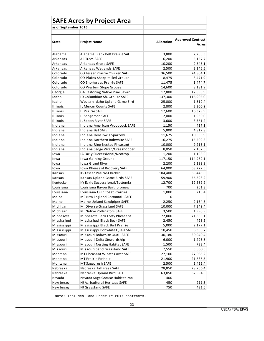|                      | <b>SAFE Acres by Project Area</b> |                   |                                   |
|----------------------|-----------------------------------|-------------------|-----------------------------------|
| as of September 2016 |                                   |                   |                                   |
|                      |                                   |                   |                                   |
| <b>State</b>         | <b>Project Name</b>               | <b>Allocation</b> | <b>Approved Contract</b><br>Acres |
| Alabama              | Alabama Black Belt Prairie SAF    | 3,800             | 2,283.3                           |
| Arkansas             | <b>AR Trees SAFE</b>              | 6,200             | 5,157.7                           |
| Arkansas             | Arkansas Grass SAFE               | 10,200            | 9,848.1                           |
| Arkansas             | Arkansas Wetlands SAFE            | 2,500             | 2,146.5                           |
| Colorado             | CO Lesser Prairie Chicken SAFE    | 36,500            | 24,804.1                          |
| Colorado             | CO Plains Sharp-tailed Grouse     | 8,475             | 8,471.9                           |
| Colorado             | CO Shortgrass Prairie SAFE        | 11,475            | 1,474.7                           |
| Colorado             | CO Western Slope Grouse           | 14,600            | 8,181.9                           |
| Georgia              | GA Restoring Native Pine Savan    | 17,800            | 12,898.9                          |
| Idaho                | ID Columbian Sh. Grouse SAFE      | 137,300           | 116,905.0                         |
| Idaho                | Western Idaho Upland Game Bird    | 25,000            | 1,612.4                           |
| Illinois             | IL Mercer County SAFE             | 2,800             | 2,300.9                           |
| <b>Illinois</b>      | IL Prairie SAFE                   | 17,600            | 16,329.9                          |
| Illinois             | IL Sangamon SAFE                  | 2,000             | 1,960.0                           |
| Illinois             | IL Spoon River SAFE               | 3,600             | 3,361.2                           |
| Indiana              | Indiana American Woodcock SAFE    | 1,150             | 417.1                             |
| Indiana              | Indiana Bat SAFE                  | 5,800             | 4,817.8                           |
| Indiana              | Indiana Henslow's Sparrow         | 11,675            | 10,555.9                          |
| Indiana              | Indiana Northern Bobwhite SAFE    | 16,275            | 15,509.3                          |
| Indiana              | Indiana Ring-Necked Pheasant      | 10,000            | 9,213.1                           |
| Indiana              | Indiana Sedge Wren/Grasshopper    | 8,050             | 7,107.3                           |
| Iowa                 | IA Early Successional/Neotrop     | 1,200             | 1,198.9                           |
| Iowa                 | Iowa Gaining Ground               | 117,150           | 114,962.1                         |
| Iowa                 | <b>Iowa Grand River</b>           | 2,200             | 2,199.9                           |
| Iowa                 | Iowa Pheasant Recovery SAFE       | 64,000            | 63,272.5                          |
| Kansas               | KS Lesser Prairie-Chicken         | 104,400           | 89,445.0                          |
| Kansas               | Kansas Upland Game Birds SAFE     | 59,900            | 56,698.2                          |
| Kentucky             | KY Early Successional/Bottomla    | 12,700            | 12,689.9                          |
| Louisiana            | Louisiana Bayou Bartholomew       | 700               | 261.3                             |
| Louisiana            | Louisiana Gulf Coast Prairies     | 1,000             | 215.4                             |
| Maine                | ME New England Cottontail SAFE    | 0                 |                                   |
| Maine                | Maine Upland Sandpiper SAFE       | 2,250             | 2,134.6                           |
| Michigan             | MI Diverse Grassland SAFE         | 10,000            | 7,249.4                           |
| Michigan             | MI Native Pollinators SAFE        | 3,500             | 1,990.9                           |
| Minnesota            | Minnesota Back Forty Pheasant     | 72,000            | 71,883.1                          |
| Mississippi          | Mississippi Black Bear SAFE       | 2,450             | 428.5                             |
| Mississippi          | Mississippi Black Belt Prairie    | 5,000             | 2,177.1                           |
| Mississippi          | Mississippi Bobwhite Quail SAF    | 10,450            | 6,386.7                           |
| Missouri             | Missouri Bobwhite Quail SAFE      | 30,180            | 30,040.4                          |
| Missouri             | Missouri Delta Stewardship        | 6,000             | 1,723.8                           |
| Missouri             | Missouri Nesting Habitat SAFE     | 1,500             | 733.4                             |
| Missouri             | Missouri Sand Grassland SAFE      | 7,550             | 5,860.5                           |
| Montana              | MT Pheasant Winter Cover SAFE     | 27,100            | 27,085.2                          |
| Montana              | MT Prairie Pothole                | 21,900            | 21,635.5                          |
| Montana              | MT Sagebrush SAFE                 | 2,500             | 1,411.4                           |
| Nebraska             | Nebraska Tallgrass SAFE           | 28,850            | 28,756.4                          |
| Nebraska             | Nebraska Upland Bird SAFE         | 63,050            | 62,994.8                          |
| Nevada               | Nevada Sage Grouse Habitat Imp    | 400               |                                   |
| New Jersey           | NJ Agricultural Heritage SAFE     | 450               | 211.3                             |
| New Jersey           | NJ Grassland SAFE                 | 750               | 421.5                             |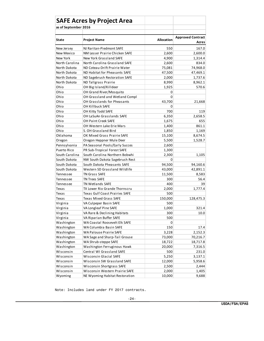| as of September 2016    |                                                                  |                 |                                   |  |
|-------------------------|------------------------------------------------------------------|-----------------|-----------------------------------|--|
|                         |                                                                  |                 |                                   |  |
| State                   | <b>Project Name</b>                                              | Allocation      | <b>Approved Contract</b><br>Acres |  |
| New Jersey              | NJ Raritan-Piedmont SAFE                                         | 550             | 167.0                             |  |
| New Mexico              | NM Lesser Prairie Chicken SAFE                                   | 2,600           | 2,600.0                           |  |
| New York                | New York Grassland SAFE                                          | 4,900           | 1,314.4                           |  |
| North Carolina          | North Carolina Grassland SAFE                                    | 2,600           | 834.0                             |  |
| North Dakota            | ND Coteau-Drift Prairie Water                                    | 75,081          | 74,968.0                          |  |
| North Dakota            | ND Habitat for Pheasants SAFE                                    | 47,500          | 47,469.1                          |  |
| North Dakota            | ND Sagebrush Restoration SAFE                                    | 2,000           | 1,737.6                           |  |
| North Dakota            | ND Tallgrass Prairie                                             | 8,990           | 8,962.1                           |  |
| Ohio                    | OH Big Island/Killdeer                                           | 1,925           | 570.6                             |  |
| Ohio                    | OH Grand River/Mosquito                                          | 0               |                                   |  |
| Ohio                    | OH Grassland and Wetland Compl                                   | 0               |                                   |  |
| Ohio                    | OH Grasslands for Pheasants                                      | 43,700          | 21,668                            |  |
| Ohio                    | OH Killbuck SAFE                                                 | 0               |                                   |  |
| Ohio                    | OH Kitty Todd SAFE                                               | 700             | 119                               |  |
| Ohio                    | OH LaSuAn Grasslands SAFE                                        | 6,350           | 2,658.5                           |  |
| Ohio                    | <b>OH Paint Creek SAFE</b>                                       | 1,675           | 655                               |  |
| Ohio                    | OH Western Lake Erie Mars                                        | 1,400           | 861.1                             |  |
| Ohio                    | S. OH Grassland Bird                                             | 1,850           | 1,169                             |  |
| Oklahoma                | OK Mixed Grass Prairie SAFE                                      | 15,100          | 8,674.5                           |  |
| Oregon                  | Oregon Heppner Mule Deer                                         | 5,500           | 1,528.7                           |  |
| Pennsylvania            | PA Seasonal Pools/Early Succes                                   | 2,600           |                                   |  |
| Puerto Rico             | PR Sub-Tropical Forest SAFE                                      | 1,300           |                                   |  |
| South Carolina          | South Carolina Northern Bobwhi                                   | 2,300           | 1,105                             |  |
| South Dakota            | NW South Dakota Sagebrush Rest                                   | 0               |                                   |  |
| South Dakota            | South Dakota Pheasants SAFE                                      | 94,500          | 94,160.6                          |  |
| South Dakota            | Western SD Grassland Wildlife                                    | 43,000          | 42,891.1                          |  |
| Tennessee               | <b>TN Grass SAFE</b>                                             | 11,500          | 8,583                             |  |
| Tennessee               | <b>TN Trees SAFE</b>                                             | 300             | 56.4                              |  |
| Tennessee               | <b>TN Wetlands SAFE</b>                                          | 400             | 39                                |  |
| Texas                   | TX Lower Rio Grande Thornscru                                    | 2,000           | 1,777.4                           |  |
| <b>Texas</b>            | <b>Texas Gulf Coast Prairies SAFE</b>                            | 500             |                                   |  |
| Texas                   | <b>Texas Mixed Grass SAFE</b>                                    | 150,000         | 128,475.3                         |  |
| Virginia                | VA Culpeper Basin SAFE                                           | 500             |                                   |  |
| Virginia                | VA Longleaf Pine SAFE                                            | 1,000           | 321.4                             |  |
| Virginia                | VA Rare & Declining Habitats                                     | 300             | 10.0                              |  |
| Virginia                | VA Riparian Buffer SAFE                                          | 500             |                                   |  |
| Washington              | WA Coastal Roosevelt Elk SAFE                                    | 0               |                                   |  |
| Washington              | WA Columbia Basin SAFE                                           | 150             | 17.4                              |  |
| Washington              | WA Palouse Prairie SAFE                                          |                 |                                   |  |
|                         |                                                                  |                 | 3,228<br>2,152.3                  |  |
| Washington              | WA Sage and Sharp-Tail Grouse                                    | 73,000          | 70,216.7                          |  |
| Washington              | WA Shrub-steppe SAFE                                             | 18,722          | 18,717.8                          |  |
| Washington<br>Wisconsin | Washington Ferruginous Hawk<br>Central WI Grassland SAFE         | 20,000<br>500   | 7,316.5                           |  |
|                         | <b>Wisconsin Glacial SAFE</b>                                    |                 | 231.0                             |  |
| Wisconsin               |                                                                  | 5,250           | 3,137.1                           |  |
| Wisconsin               | Wisconsin SW Grassland SAFE                                      | 12,000          | 5,958.6                           |  |
| Wisconsin               | Wisconsin Shortgrass SAFE                                        | 2,500           | 2,444                             |  |
| Wisconsin<br>Wyoming    | Wisconsin Western Prairie SAFE<br>NE Wyoming Habitat Restoration | 2,000<br>10,000 | 1,405<br>9,688                    |  |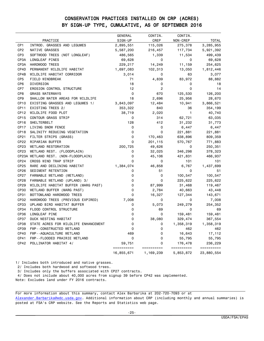### CONSERVATION PRACTICES INSTALLED ON CRP (ACRES) BY SIGN-UP TYPE, CUMULATIVE, AS OF SEPTEMBER 2016

|                  |                                      | <b>GENERAL</b>       | CONTIN.        | CONTIN.               |                       |
|------------------|--------------------------------------|----------------------|----------------|-----------------------|-----------------------|
|                  | PRACTICE                             | SIGN-UP              | CREP           | NON-CREP              | <b>TOTAL</b>          |
| CP <sub>1</sub>  | INTROD. GRASSES AND LEGUMES          | 2,895,551            | 115,026        | 275,378               | 3,285,955             |
| CP <sub>2</sub>  | NATIVE GRASSES                       | 5,587,200            | 216,457        | 117,734               | 5,921,392             |
| CP3              | SOFTWOOD TREES (NOT LONGLEAF)        | 486,565              | 1,339          | 11,534                | 499,439               |
| CP3A             | LONGLEAF PINES                       | 69,628               | 0              | 0                     | 69,628                |
| CP3A             | HARDWOOD TREES                       | 229,217              | 14,249         | 11,159                | 254,625               |
| CP4D             | PERMANENT WILDLIFE HABITAT           | 1,697,083            | 102,313        | 13,050                | 1,812,446             |
| CP4B             | WILDLIFE HABITAT CORRIDOR            | 3,014                | 0              | 63                    | 3,077                 |
| CP <sub>5</sub>  | FIELD WINDBREAK                      | 71                   | 4,839          | 83,972                | 88,882                |
| CP <sub>6</sub>  | DIVERSION                            | 18                   | 0              | 0                     | 18                    |
| CP7              | EROSION CONTROL STRUCTURE            | 12                   | $\overline{c}$ | 0                     | 14                    |
| CP8              | <b>GRASS WATERWAYS</b>               | $\mathbf 0$          | 670            | 125,530               | 126,200               |
| CP9              | SHALLOW WATER AREAS FOR WILDLIFE     | 18                   | 2,696          | 25,956                | 28,670                |
| CP <sub>10</sub> | EXISTING GRASSES AND LEGUMES 1/      | 3,843,097            | 12,484         | 10,941                | 3,866,521             |
| CP <sub>11</sub> | EXISTING TREES 2/                    | 353,322              | 840            | 36                    | 354,199               |
| CP <sub>12</sub> | WILDLIFE FOOD PLOT                   | 38,719               | 2,020          | $\mathbf{1}$          | 40,740                |
| CP <sub>15</sub> | CONTOUR GRASS STRIP                  | 0                    | 314            | 62,721                | 63,035                |
| CP <sub>16</sub> | SHELTERBELT                          | 128                  | 412            | 31,232                | 31,773                |
| CP <sub>17</sub> | LIVING SNOW FENCE                    | 0                    | 0              | 6,447                 | 6,447                 |
| CP <sub>18</sub> | SALINITY REDUCING VEGETATION         | 0                    | $\mathbf 0$    | 221,881               | 221,881               |
| CP21             | FILTER STRIPS (GRASS)                | 0                    | 170,463        | 638,896               | 809,359               |
| CP22             | RIPARIAN BUFFER                      | 0                    | 201,115        | 570,767               | 771,883               |
| CP <sub>23</sub> | WETLAND RESTORATION                  | 200,725              | 49,626         | 0                     | 250,351               |
| CP23             | WETLAND REST. (FLOODPLAIN)           | 0                    | 32,025         | 346,298               | 378,323               |
|                  | CP23A WETLAND REST. (NON-FLOODPLAIN) | 0                    | 45,106         | 421,831               | 466,937               |
| CP <sub>24</sub> | CROSS WIND TRAP STRIP                | 0                    | 0              | 101                   | 101                   |
| CP25             | RARE AND DECLINING HABITAT           | 1,384,074            | 46,858         | 6,767                 | 1,437,699             |
| CP <sub>26</sub> | SEDIMENT RETENTION                   | 0                    | 51             | 0                     | 51                    |
| CP27             | FARMABLE WETLAND (WETLAND)           | $\Omega$             | 0              | 100,547               | 100,547               |
| CP <sub>28</sub> | FARMABLE WETLAND (UPLAND) 3/         | 0                    | 0              | 225,622               | 225,622               |
| CP29             | WILDLIFE HABITAT BUFFER (MARG PAST)  | 0                    | 87,999         | 31,468                | 119,467               |
| CP30             | WETLAND BUFFER (MARG PAST)           | 0                    | 2,784          | 40,663                | 43,448                |
| CP31             | BOTTOMLAND HARDWOOD TREES            | 0                    | 16,327         | 127,344               | 143,671               |
| CP32             | HARDWOOD TREES (PREVIOUS EXPIRED)    | 7,008                | 0              | 0                     | 7,008                 |
| <b>CP33</b>      | UPLAND BIRD HABITAT BUFFER           | 0                    | 5,073          | 249,279               | 254,352               |
| CP34             | FLOOD CONTROL STRUCTURE              | $\Omega$             | 69             | 0                     | 69                    |
| CP36             | LONGLEAF PINE                        | 0                    | 0              | 159,481               | 159,481               |
| <b>CP37</b>      | DUCK NESTING HABITAT                 | 0                    | 38,080         | 329,474               | 367,554               |
| <b>CP38</b>      | STATE ACRES FOR WILDLIFE ENHANCEMENT | 0                    | 0              | 1,358,319             | 1,358,319             |
| CP39             | FWP--CONSTRUCTED WETLAND             | 0                    | 0              | 462                   | 462                   |
| <b>CP40</b>      | FWP--AQUACULTURE WETLAND             | 469                  | $\mathbf 0$    | 16,643                | 17,112                |
| CP41             | FWP--FLOODED PRAIRIE WETLAND         | 0                    | 0              | 55,795                | 55,795                |
| CP42             | POLLINATOR HABITAT 4/                | 59,751<br>========== | 0              | 176,478<br>========== | 236,229<br>========== |
|                  |                                      | 16,855,671           | 1,169,239      | 5,853,872             | 23,880,554            |

1/ Includes both introduced and native grasses.

2/ Includes both hardwood and softwood trees.

3/ Includes only the buffers associated with CP27 contracts.

4/ Does not include about 40,000 acres from signup 39 before CP42 was implemented.

Note: Excludes land under FY 2016 contracts.

For more information about this summary, contact Alex Barbarika at 202-720-7093 or at [Alexander.Barbarika@wdc.usda.gov.](mailto:Alexander.Barbarika@wdc.usda.gov) Additional information about CRP (including monthly and annual summaries) is posted at FSA's CRP website. See the Reports and Statistics web page.